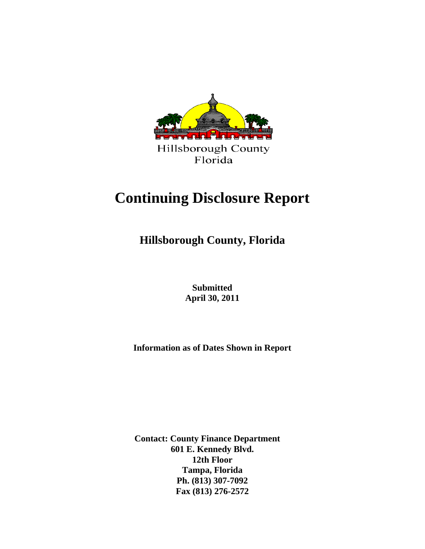

# **Continuing Disclosure Report**

 **Hillsborough County, Florida**

 **Submitted April 30, 2011**

**Information as of Dates Shown in Report**

**Contact: County Finance Department 601 E. Kennedy Blvd. 12th Floor Tampa, Florida Ph. (813) 307-7092 Fax (813) 276-2572**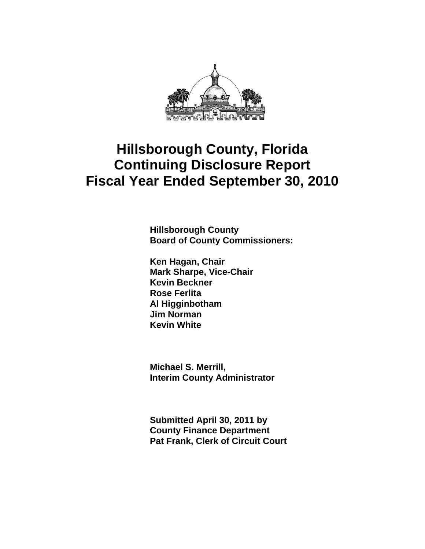

**Hillsborough County Board of County Commissioners:** 

**Ken Hagan, Chair Mark Sharpe, Vice-Chair Kevin Beckner Rose Ferlita Al Higginbotham Jim Norman Kevin White** 

**Michael S. Merrill, Interim County Administrator** 

**Submitted April 30, 2011 by County Finance Department Pat Frank, Clerk of Circuit Court**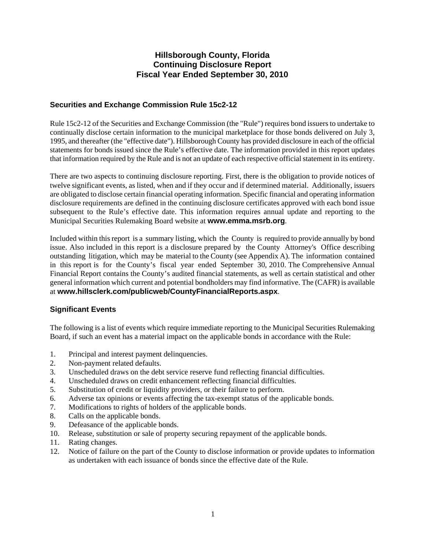## **Securities and Exchange Commission Rule 15c2-12**

Rule 15c2-12 of the Securities and Exchange Commission (the "Rule") requires bond issuers to undertake to continually disclose certain information to the municipal marketplace for those bonds delivered on July 3, 1995, and thereafter (the "effective date"). Hillsborough County has provided disclosure in each of the official statements for bonds issued since the Rule's effective date. The information provided in this report updates that information required by the Rule and is not an update of each respective official statement in its entirety.

There are two aspects to continuing disclosure reporting. First, there is the obligation to provide notices of twelve significant events, as listed, when and if they occur and if determined material. Additionally, issuers are obligated to disclose certain financial operating information. Specific financial and operating information disclosure requirements are defined in the continuing disclosure certificates approved with each bond issue subsequent to the Rule's effective date. This information requires annual update and reporting to the Municipal Securities Rulemaking Board website at **www.emma.msrb.org**.

Included within this report is a summary listing, which the County is required to provide annually by bond issue. Also included in this report is a disclosure prepared by the County Attorney's Office describing outstanding litigation, which may be material to the County (see Appendix A). The information contained in this report is for the County's fiscal year ended September 30, 2010. The Comprehensive Annual Financial Report contains the County's audited financial statements, as well as certain statistical and other general information which current and potential bondholders may find informative. The (CAFR) is available at **www.hillsclerk.com/publicweb/CountyFinancialReports.aspx**.

## **Significant Events**

The following is a list of events which require immediate reporting to the Municipal Securities Rulemaking Board, if such an event has a material impact on the applicable bonds in accordance with the Rule:

- 1. Principal and interest payment delinquencies.
- 2. Non-payment related defaults.
- 3. Unscheduled draws on the debt service reserve fund reflecting financial difficulties.
- 4. Unscheduled draws on credit enhancement reflecting financial difficulties.
- 5. Substitution of credit or liquidity providers, or their failure to perform.
- 6. Adverse tax opinions or events affecting the tax-exempt status of the applicable bonds.
- 7. Modifications to rights of holders of the applicable bonds.
- 8. Calls on the applicable bonds.
- 9. Defeasance of the applicable bonds.
- 10. Release, substitution or sale of property securing repayment of the applicable bonds.
- 11. Rating changes.
- 12. Notice of failure on the part of the County to disclose information or provide updates to information as undertaken with each issuance of bonds since the effective date of the Rule.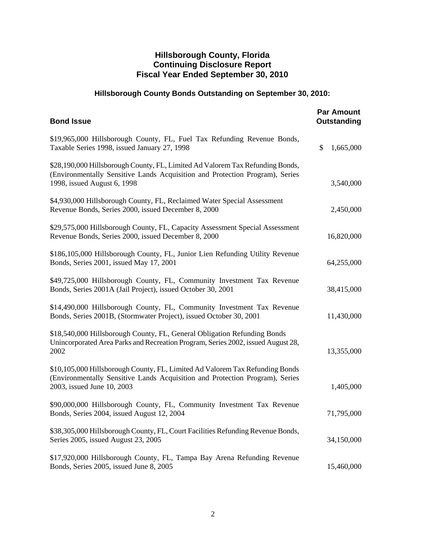# **Hillsborough County Bonds Outstanding on September 30, 2010:**

| <b>Bond Issue</b>                                                                                                                                                                            | <b>Par Amount</b><br><b>Outstanding</b> |
|----------------------------------------------------------------------------------------------------------------------------------------------------------------------------------------------|-----------------------------------------|
| \$19,965,000 Hillsborough County, FL, Fuel Tax Refunding Revenue Bonds,<br>Taxable Series 1998, issued January 27, 1998                                                                      | 1,665,000<br>\$                         |
| \$28,190,000 Hillsborough County, FL, Limited Ad Valorem Tax Refunding Bonds,<br>(Environmentally Sensitive Lands Acquisition and Protection Program), Series<br>1998, issued August 6, 1998 | 3,540,000                               |
| \$4,930,000 Hillsborough County, FL, Reclaimed Water Special Assessment<br>Revenue Bonds, Series 2000, issued December 8, 2000                                                               | 2,450,000                               |
| \$29,575,000 Hillsborough County, FL, Capacity Assessment Special Assessment<br>Revenue Bonds, Series 2000, issued December 8, 2000                                                          | 16,820,000                              |
| \$186,105,000 Hillsborough County, FL, Junior Lien Refunding Utility Revenue<br>Bonds, Series 2001, issued May 17, 2001                                                                      | 64,255,000                              |
| \$49,725,000 Hillsborough County, FL, Community Investment Tax Revenue<br>Bonds, Series 2001A (Jail Project), issued October 30, 2001                                                        | 38,415,000                              |
| \$14,490,000 Hillsborough County, FL, Community Investment Tax Revenue<br>Bonds, Series 2001B, (Stormwater Project), issued October 30, 2001                                                 | 11,430,000                              |
| \$18,540,000 Hillsborough County, FL, General Obligation Refunding Bonds<br>Unincorporated Area Parks and Recreation Program, Series 2002, issued August 28,<br>2002                         | 13,355,000                              |
| \$10,105,000 Hillsborough County, FL, Limited Ad Valorem Tax Refunding Bonds<br>(Environmentally Sensitive Lands Acquisition and Protection Program), Series<br>2003, issued June 10, 2003   | 1,405,000                               |
| \$90,000,000 Hillsborough County, FL, Community Investment Tax Revenue<br>Bonds, Series 2004, issued August 12, 2004                                                                         | 71,795,000                              |
| \$38,305,000 Hillsborough County, FL, Court Facilities Refunding Revenue Bonds,<br>Series 2005, issued August 23, 2005                                                                       | 34,150,000                              |
| \$17,920,000 Hillsborough County, FL, Tampa Bay Arena Refunding Revenue<br>Bonds, Series 2005, issued June 8, 2005                                                                           | 15,460,000                              |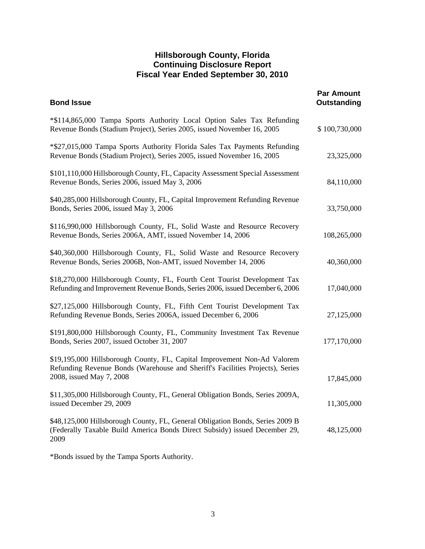| <b>Par Amount</b><br>Outstanding |
|----------------------------------|
| \$100,730,000                    |
| 23,325,000                       |
| 84,110,000                       |
| 33,750,000                       |
| 108,265,000                      |
| 40,360,000                       |
| 17,040,000                       |
| 27,125,000                       |
| 177,170,000                      |
| 17,845,000                       |
| 11,305,000                       |
| 48,125,000                       |
|                                  |

\*Bonds issued by the Tampa Sports Authority.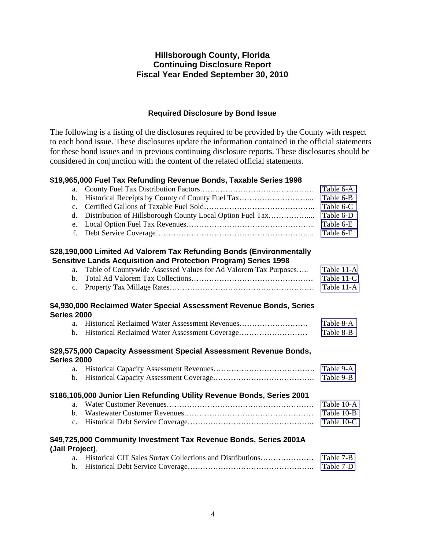## **Required Disclosure by Bond Issue**

The following is a listing of the disclosures required to be provided by the County with respect to each bond issue. These disclosures update the information contained in the official statements for these bond issues and in previous continuing disclosure reports. These disclosures should be considered in conjunction with the content of the related official statements.

### **\$19,965,000 Fuel Tax Refunding Revenue Bonds, Taxable Series 1998**

| a.              |                                                                                                                                                | Table 6-A  |
|-----------------|------------------------------------------------------------------------------------------------------------------------------------------------|------------|
| $\mathbf b$ .   | Historical Receipts by County of County Fuel Tax                                                                                               | Table 6-B  |
| $\mathbf{c}$ .  |                                                                                                                                                | Table 6-C  |
| $\mathbf{d}$ .  | Distribution of Hillsborough County Local Option Fuel Tax                                                                                      | Table 6-D  |
| e.              |                                                                                                                                                | Table 6-E  |
| f.              |                                                                                                                                                | Table 6-F  |
|                 | \$28,190,000 Limited Ad Valorem Tax Refunding Bonds (Environmentally<br><b>Sensitive Lands Acquisition and Protection Program) Series 1998</b> |            |
| a.              | Table of Countywide Assessed Values for Ad Valorem Tax Purposes                                                                                | Table 11-A |
| $\mathbf{b}$ .  |                                                                                                                                                | Table 11-C |
| c.              |                                                                                                                                                | Table 11-A |
|                 |                                                                                                                                                |            |
| Series 2000     | \$4,930,000 Reclaimed Water Special Assessment Revenue Bonds, Series                                                                           |            |
| a.              |                                                                                                                                                | Table 8-A  |
| b.              |                                                                                                                                                | Table 8-B  |
| Series 2000     | \$29,575,000 Capacity Assessment Special Assessment Revenue Bonds,                                                                             |            |
| a.              |                                                                                                                                                | Table 9-A  |
| $\mathbf{b}$ .  |                                                                                                                                                | Table 9-B  |
|                 | \$186,105,000 Junior Lien Refunding Utility Revenue Bonds, Series 2001                                                                         |            |
| a.              |                                                                                                                                                | Table 10-A |
| $\mathbf{b}$ .  |                                                                                                                                                | Table 10-B |
| c.              |                                                                                                                                                | Table 10-C |
|                 |                                                                                                                                                |            |
|                 | \$49,725,000 Community Investment Tax Revenue Bonds, Series 2001A                                                                              |            |
| (Jail Project). |                                                                                                                                                |            |
| $a_{-}$         | Historical CIT Sales Surtax Collections and Distributions                                                                                      | Table 7-B  |
| $\mathbf{b}$ .  |                                                                                                                                                | Table 7-D  |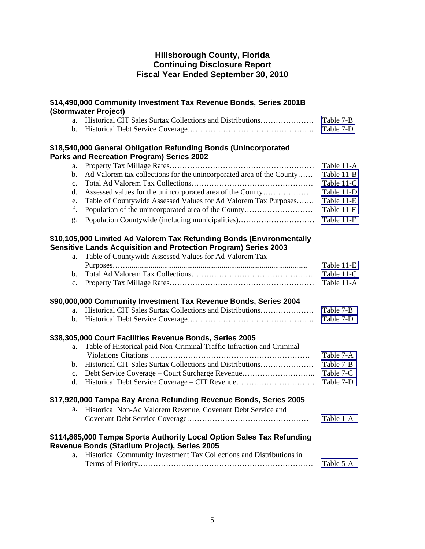|                | \$14,490,000 Community Investment Tax Revenue Bonds, Series 2001B<br>(Stormwater Project)                                                                                                                |            |
|----------------|----------------------------------------------------------------------------------------------------------------------------------------------------------------------------------------------------------|------------|
| a.             | Historical CIT Sales Surtax Collections and Distributions                                                                                                                                                | Table 7-B  |
| b.             |                                                                                                                                                                                                          | Table 7-D  |
|                | \$18,540,000 General Obligation Refunding Bonds (Unincorporated<br>Parks and Recreation Program) Series 2002                                                                                             |            |
| a.             |                                                                                                                                                                                                          | Table 11-A |
| $\mathbf{b}$ . | Ad Valorem tax collections for the unincorporated area of the County                                                                                                                                     | Table 11-B |
| c.             |                                                                                                                                                                                                          | Table 11-C |
| d.             |                                                                                                                                                                                                          | Table 11-D |
| e.             | Table of Countywide Assessed Values for Ad Valorem Tax Purposes                                                                                                                                          | Table 11-E |
| f.             | Population of the unincorporated area of the County                                                                                                                                                      | Table 11-F |
| g.             | Population Countywide (including municipalities)                                                                                                                                                         | Table 11-F |
| a.             | \$10,105,000 Limited Ad Valorem Tax Refunding Bonds (Environmentally<br><b>Sensitive Lands Acquisition and Protection Program) Series 2003</b><br>Table of Countywide Assessed Values for Ad Valorem Tax |            |
|                |                                                                                                                                                                                                          | Table 11-E |
| $\mathbf{b}$ . |                                                                                                                                                                                                          | Table 11-C |
| c.             |                                                                                                                                                                                                          | Table 11-A |
|                |                                                                                                                                                                                                          |            |
|                | \$90,000,000 Community Investment Tax Revenue Bonds, Series 2004                                                                                                                                         |            |
| a.             | Historical CIT Sales Surtax Collections and Distributions                                                                                                                                                | Table 7-B  |
| b.             |                                                                                                                                                                                                          | Table 7-D  |
|                | \$38,305,000 Court Facilities Revenue Bonds, Series 2005                                                                                                                                                 |            |
| a.             | Table of Historical paid Non-Criminal Traffic Infraction and Criminal                                                                                                                                    |            |
|                |                                                                                                                                                                                                          | Table 7-A  |
| $\mathbf{b}$ . | Historical CIT Sales Surtax Collections and Distributions                                                                                                                                                | Table 7-B  |
| c.             | Debt Service Coverage - Court Surcharge Revenue                                                                                                                                                          | Table 7-C  |
| d.             |                                                                                                                                                                                                          | Table 7-D  |
|                | \$17,920,000 Tampa Bay Arena Refunding Revenue Bonds, Series 2005                                                                                                                                        |            |
|                | a. Historical Non-Ad Valorem Revenue, Covenant Debt Service and                                                                                                                                          |            |
|                |                                                                                                                                                                                                          | Table 1-A  |
|                | \$114,865,000 Tampa Sports Authority Local Option Sales Tax Refunding                                                                                                                                    |            |
|                | Revenue Bonds (Stadium Project), Series 2005                                                                                                                                                             |            |
| a.             | Historical Community Investment Tax Collections and Distributions in                                                                                                                                     |            |
|                |                                                                                                                                                                                                          | Table 5-A  |
|                |                                                                                                                                                                                                          |            |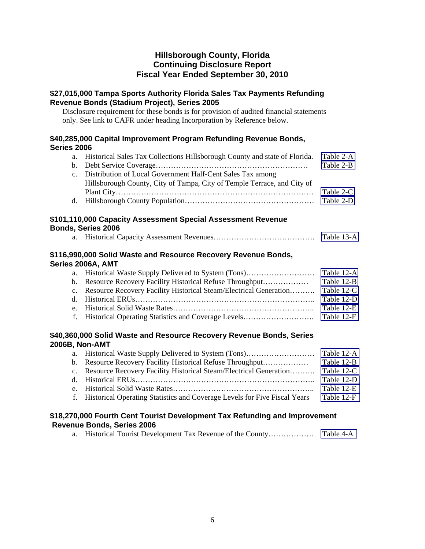## **\$27,015,000 Tampa Sports Authority Florida Sales Tax Payments Refunding Revenue Bonds (Stadium Project), Series 2005**

Disclosure requirement for these bonds is for provision of audited financial statements only. See link to CAFR under heading Incorporation by Reference below.

## **\$40,285,000 Capital Improvement Program Refunding Revenue Bonds, Series 2006**

| a. Historical Sales Tax Collections Hillsborough County and state of Florida. | Table 2-A |
|-------------------------------------------------------------------------------|-----------|
|                                                                               | Table 2-B |
| c. Distribution of Local Government Half-Cent Sales Tax among                 |           |
| Hillsborough County, City of Tampa, City of Temple Terrace, and City of       |           |
|                                                                               | Table 2-C |
|                                                                               |           |

## **\$101,110,000 Capacity Assessment Special Assessment Revenue Bonds, Series 2006**

|  | Table 13-A |
|--|------------|
|  |            |

## **\$116,990,000 Solid Waste and Resource Recovery Revenue Bonds, Series 2006A, AMT**

| b. Resource Recovery Facility Historical Refuse Throughput           | Table 12-B |
|----------------------------------------------------------------------|------------|
| c. Resource Recovery Facility Historical Steam/Electrical Generation | Table 12-C |
|                                                                      | Table 12-D |
|                                                                      | Table 12-E |
|                                                                      |            |

## **\$40,360,000 Solid Waste and Resource Recovery Revenue Bonds, Series 2006B, Non-AMT**

| b. Resource Recovery Facility Historical Refuse Throughput                   | Table 12-B |
|------------------------------------------------------------------------------|------------|
| c. Resource Recovery Facility Historical Steam/Electrical Generation         | Table 12-C |
|                                                                              | Table 12-D |
|                                                                              | Table 12-E |
| f. Historical Operating Statistics and Coverage Levels for Five Fiscal Years | Table 12-F |

## **\$18,270,000 Fourth Cent Tourist Development Tax Refunding and Improvement Revenue Bonds, Series 2006**

a. Historical Tourist Development Tax Revenue of the County……………… [Table 4-A](#page-15-0)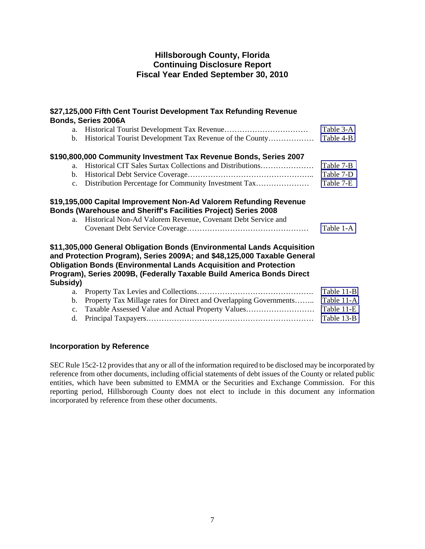## **\$27,125,000 Fifth Cent Tourist Development Tax Refunding Revenue Bonds, Series 2006A**

| a.             |                                                                                                                                                                                                                              | Table 3-A  |
|----------------|------------------------------------------------------------------------------------------------------------------------------------------------------------------------------------------------------------------------------|------------|
| b.             | Historical Tourist Development Tax Revenue of the County                                                                                                                                                                     | Table 4-B  |
|                | \$190,800,000 Community Investment Tax Revenue Bonds, Series 2007                                                                                                                                                            |            |
| a <sub>z</sub> | Historical CIT Sales Surtax Collections and Distributions                                                                                                                                                                    | Table 7-B  |
| b.             |                                                                                                                                                                                                                              | Table 7-D  |
| c.             | Distribution Percentage for Community Investment Tax                                                                                                                                                                         | Table 7-E  |
| a.             | \$19,195,000 Capital Improvement Non-Ad Valorem Refunding Revenue<br><b>Bonds (Warehouse and Sheriff's Facilities Project) Series 2008</b><br>Historical Non-Ad Valorem Revenue, Covenant Debt Service and                   |            |
|                |                                                                                                                                                                                                                              | Table 1-A  |
|                | \$11,305,000 General Obligation Bonds (Environmental Lands Acquisition<br>and Protection Program), Series 2009A; and \$48,125,000 Taxable General<br><b>Obligation Bonds (Environmental Lands Acquisition and Protection</b> |            |
|                | Program), Series 2009B, (Federally Taxable Build America Bonds Direct                                                                                                                                                        |            |
| Subsidy)       |                                                                                                                                                                                                                              |            |
| a.             |                                                                                                                                                                                                                              | Table 11-B |
| $\mathbf{b}$ . | Property Tax Millage rates for Direct and Overlapping Governments                                                                                                                                                            | Table 11-A |
| $\mathbf{c}$ . | Taxable Assessed Value and Actual Property Values                                                                                                                                                                            | Table 11-E |

d. Principal Taxpayers………………………………………………………… [Table 13-B](#page-49-0) 

## **Incorporation by Reference**

SEC Rule 15c2-12 provides that any or all of the information required to be disclosed may be incorporated by reference from other documents, including official statements of debt issues of the County or related public entities, which have been submitted to EMMA or the Securities and Exchange Commission. For this reporting period, Hillsborough County does not elect to include in this document any information incorporated by reference from these other documents.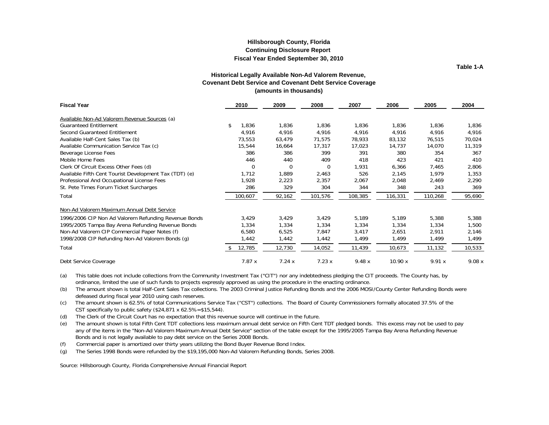**Table 1-A**

#### **Historical Legally Available Non-Ad Valorem Revenue, Covenant Debt Service and Covenant Debt Service Coverage (amounts in thousands)**

<span id="page-9-0"></span>

| <b>Fiscal Year</b>                                     | 2010        | 2009     | 2008    | 2007    | 2006    | 2005    | 2004   |
|--------------------------------------------------------|-------------|----------|---------|---------|---------|---------|--------|
| Available Non-Ad Valorem Revenue Sources (a)           |             |          |         |         |         |         |        |
| <b>Guaranteed Entitlement</b>                          | 1,836<br>\$ | 1,836    | 1,836   | 1,836   | 1,836   | 1,836   | 1,836  |
| Second Guaranteed Entitlement                          | 4,916       | 4,916    | 4,916   | 4,916   | 4,916   | 4,916   | 4,916  |
| Available Half-Cent Sales Tax (b)                      | 73,553      | 63,479   | 71,575  | 78,933  | 83,132  | 76,515  | 70,024 |
| Available Communication Service Tax (c)                | 15,544      | 16,664   | 17,317  | 17,023  | 14,737  | 14.070  | 11,319 |
| Beverage License Fees                                  | 386         | 386      | 399     | 391     | 380     | 354     | 367    |
| Mobile Home Fees                                       | 446         | 440      | 409     | 418     | 423     | 421     | 410    |
| Clerk Of Circuit Excess Other Fees (d)                 | 0           | $\Omega$ | 0       | 1,931   | 6,366   | 7,465   | 2,806  |
| Available Fifth Cent Tourist Development Tax (TDT) (e) | 1,712       | 1,889    | 2,463   | 526     | 2,145   | 1,979   | 1,353  |
| Professional And Occupational License Fees             | 1,928       | 2,223    | 2,357   | 2,067   | 2,048   | 2,469   | 2,290  |
| St. Pete Times Forum Ticket Surcharges                 | 286         | 329      | 304     | 344     | 348     | 243     | 369    |
| Total                                                  | 100,607     | 92,162   | 101,576 | 108,385 | 116,331 | 110,268 | 95,690 |
| Non-Ad Valorem Maximum Annual Debt Service             |             |          |         |         |         |         |        |
| 1996/2006 CIP Non Ad Valorem Refunding Revenue Bonds   | 3,429       | 3,429    | 3,429   | 5,189   | 5,189   | 5,388   | 5,388  |
| 1995/2005 Tampa Bay Arena Refunding Revenue Bonds      | 1,334       | 1,334    | 1,334   | 1,334   | 1,334   | 1,334   | 1,500  |
| Non-Ad Valorem CIP Commercial Paper Notes (f)          | 6,580       | 6,525    | 7,847   | 3,417   | 2,651   | 2,911   | 2,146  |
| 1998/2008 CIP Refunding Non-Ad Valorem Bonds (q)       | 1,442       | 1,442    | 1,442   | 1,499   | 1,499   | 1,499   | 1,499  |
| Total                                                  | 12,785      | 12,730   | 14,052  | 11,439  | 10,673  | 11,132  | 10,533 |
| Debt Service Coverage                                  | 7.87x       | 7.24x    | 7.23x   | 9.48x   | 10.90 x | 9.91x   | 9.08x  |

 ordinance, limited the use of such funds to projects expressly approved as using the procedure in the enacting ordinance. (a) This table does not include collections from the Community Investment Tax ("CIT") nor any indebtedness pledging the CIT proceeds. The County has, by

 defeased during fiscal year 2010 using cash reserves. (b) The amount shown is total Half-Cent Sales Tax collections. The 2003 Criminal Justice Refunding Bonds and the 2006 MOSI/County Center Refunding Bonds were

 CST specifically to public safety (\$24,871 x 62.5%=\$15,544). (c) The amount shown is 62.5% of total Communications Service Tax ("CST") collections. The Board of County Commissioners formally allocated 37.5% of the

(d) The Clerk of the Circuit Court has no expectation that this revenue source will continue in the future.

 any of the items in the "Non-Ad Valorem Maximum Annual Debt Service" section of the table except for the 1995/2005 Tampa Bay Arena Refunding Revenue Bonds and is not legally available to pay debt service on the Series 2008 Bonds. (e) The amount shown is total Fifth Cent TDT collections less maximum annual debt service on Fifth Cent TDT pledged bonds. This excess may not be used to pay

(f) Commercial paper is amortized over thirty years utilizing the Bond Buyer Revenue Bond Index.

(g) The Series 1998 Bonds were refunded by the \$19,195,000 Non-Ad Valorem Refunding Bonds, Series 2008.

Source: Hillsborough County, Florida Comprehensive Annual Financial Report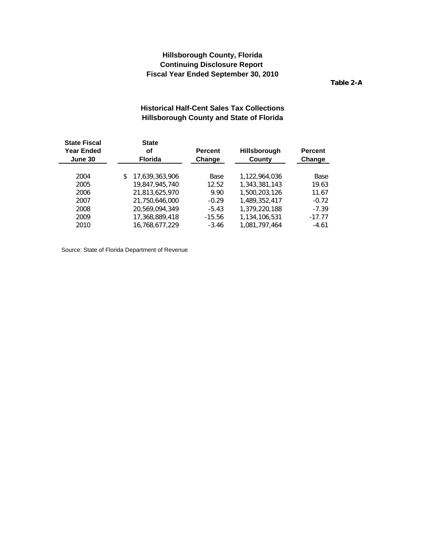**Table 2-A**

## **Historical Half-Cent Sales Tax Collections Hillsborough County and State of Florida**

<span id="page-10-0"></span>

| <b>State Fiscal</b><br><b>Year Ended</b><br>June 30 | <b>State</b><br>οf<br><b>Florida</b> | <b>Percent</b><br>Change | <b>Hillsborough</b><br>County | <b>Percent</b><br>Change |
|-----------------------------------------------------|--------------------------------------|--------------------------|-------------------------------|--------------------------|
| 2004                                                | 17,639,363,906<br>\$                 | Base                     | 1.122.964.036                 | Base                     |
| 2005                                                | 19,847,945,740                       | 12.52                    | 1,343,381,143                 | 19.63                    |
| 2006                                                | 21.813.625.970                       | 9.90                     | 1,500,203,126                 | 11.67                    |
| 2007                                                | 21,750,646,000                       | $-0.29$                  | 1,489,352,417                 | $-0.72$                  |
| 2008                                                | 20.569.094.349                       | $-5.43$                  | 1,379,220,188                 | $-7.39$                  |
| 2009                                                | 17,368,889,418                       | $-15.56$                 | 1,134,106,531                 | $-17.77$                 |
| 2010                                                | 16.768.677.229                       | $-3.46$                  | 1.081.797.464                 | $-4.61$                  |
|                                                     |                                      |                          |                               |                          |

Source: State of Florida Department of Revenue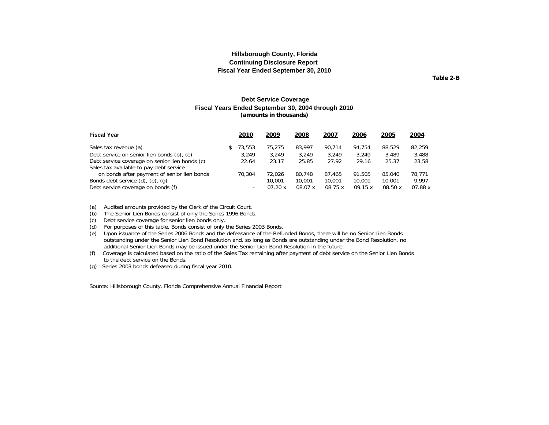**Table 2-B**

#### **Debt Service Coverage Fiscal Years Ended September 30, 2004 through 2010 (amounts in thousands)**

<span id="page-11-0"></span>

| <b>Fiscal Year</b>                             | 2010                     | 2009    | 2008    | 2007    | 2006   | 2005   | <u> 2004</u>     |
|------------------------------------------------|--------------------------|---------|---------|---------|--------|--------|------------------|
| Sales tax revenue (a)                          | 73,553                   | 75,275  | 83,997  | 90.714  | 94.754 | 88,529 | 82,259           |
| Debt service on senior lien bonds (b), (e)     | 3.249                    | 3.249   | 3.249   | 3.249   | 3.249  | 3.489  | 3,488            |
| Debt service coverage on senior lien bonds (c) | 22.64                    | 23.17   | 25.85   | 27.92   | 29.16  | 25.37  | 23.58            |
| Sales tax available to pay debt service        |                          |         |         |         |        |        |                  |
| on bonds after payment of senior lien bonds    | 70.304                   | 72.026  | 80.748  | 87.465  | 91,505 | 85,040 | 78.771           |
| Bonds debt service $(d)$ , $(e)$ , $(q)$       | -                        | 10.001  | 10,001  | 10,001  | 10,001 | 10,001 | 9.997            |
| Debt service coverage on bonds (f)             | $\overline{\phantom{0}}$ | 07.20 x | 08.07 x | 08.75 x | 09.15x | 08.50x | $07.88$ $\times$ |

(a) Audited amounts provided by the Clerk of the Circuit Court.

(b) The Senior Lien Bonds consist of only the Series 1996 Bonds.

(c) Debt service coverage for senior lien bonds only.

(d) For purposes of this table, Bonds consist of only the Series 2003 Bonds.

(e) Upon issuance of the Series 2006 Bonds and the defeasance of the Refunded Bonds, there will be no Senior Lien Bonds outstanding under the Senior Lien Bond Resolution and, so long as Bonds are outstanding under the Bond Resolution, no additional Senior Lien Bonds may be issued under the Senior Lien Bond Resolution in the future.

(f) Coverage is calculated based on the ratio of the Sales Tax remaining after payment of debt service on the Senior Lien Bonds to the debt service on the Bonds.

(g) Series 2003 bonds defeased during fiscal year 2010.

Source: Hillsborough County, Florida Comprehensive Annual Financial Report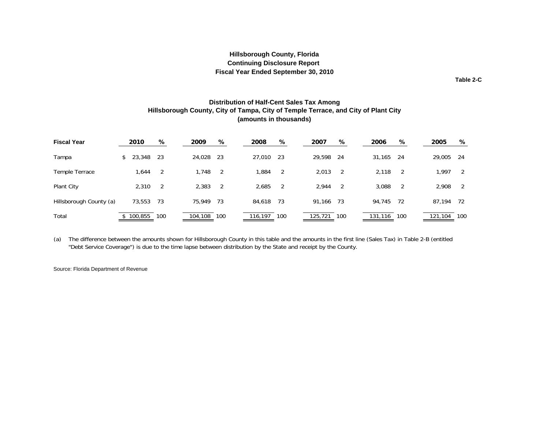**Table 2-C**

#### **Distribution of Half-Cent Sales Tax Among Hillsborough County, City of Tampa, City of Temple Terrace, and City of Plant City (amounts in thousands)**

<span id="page-12-0"></span>

| <b>Fiscal Year</b>      | 2010     |         | %   | 2009        |       | %    | 2008      | %    | 2007        | %   | 2006    | %   | 2005    | %   |
|-------------------------|----------|---------|-----|-------------|-------|------|-----------|------|-------------|-----|---------|-----|---------|-----|
| Tampa                   | \$23,348 |         | -23 | 24,028 23   |       |      | 27,010 23 |      | 29,598      | -24 | 31,165  | -24 | 29,005  | -24 |
| Temple Terrace          |          | 1,644   | -2  |             | 1.748 | -2   | 1,884     | 2    | 2,013       | -2  | 2,118   | - 2 | 1.997   | 2   |
| Plant City              |          | 2.310   | -2  | 2,383       |       | 2    | 2,685     | 2    | 2.944       | -2  | 3,088   | -2  | 2.908   | -2  |
| Hillsborough County (a) |          | 73,553  | 73  | 75,949      |       | - 73 | 84,618    | - 73 | 91,166      | -73 | 94,745  | -72 | 87,194  | -72 |
| Total                   |          | 100,855 | 100 | 104,108 100 |       |      | 116,197   | 100  | 125,721 100 |     | 131,116 | 100 | 121,104 | 100 |

(a) The difference between the amounts shown for Hillsborough County in this table and the amounts in the first line (Sales Tax) in Table 2-B (entitled "Debt Service Coverage") is due to the time lapse between distribution by the State and receipt by the County.

Source: Florida Department of Revenue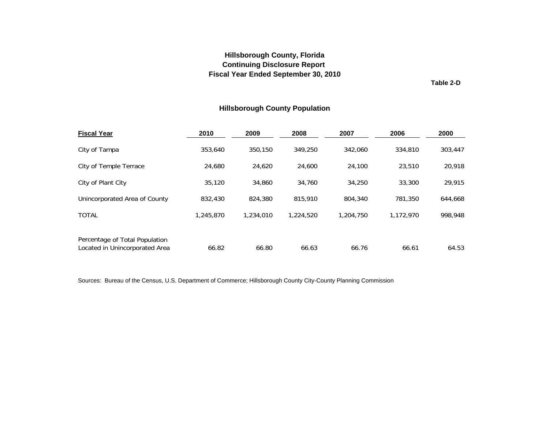**Table 2-D**

## **Hillsborough County Population**

<span id="page-13-0"></span>

| <b>Fiscal Year</b>                                               | 2010      | 2009      | 2008      | 2007      | 2006      | 2000    |
|------------------------------------------------------------------|-----------|-----------|-----------|-----------|-----------|---------|
| City of Tampa                                                    | 353,640   | 350.150   | 349.250   | 342.060   | 334,810   | 303,447 |
| City of Temple Terrace                                           | 24,680    | 24,620    | 24,600    | 24,100    | 23,510    | 20,918  |
| City of Plant City                                               | 35,120    | 34,860    | 34,760    | 34,250    | 33,300    | 29,915  |
| Unincorporated Area of County                                    | 832,430   | 824,380   | 815,910   | 804,340   | 781,350   | 644,668 |
| <b>TOTAL</b>                                                     | 1,245,870 | 1,234,010 | 1,224,520 | 1,204,750 | 1,172,970 | 998,948 |
| Percentage of Total Population<br>Located in Unincorporated Area | 66.82     | 66.80     | 66.63     | 66.76     | 66.61     | 64.53   |

Sources: Bureau of the Census, U.S. Department of Commerce; Hillsborough County City-County Planning Commission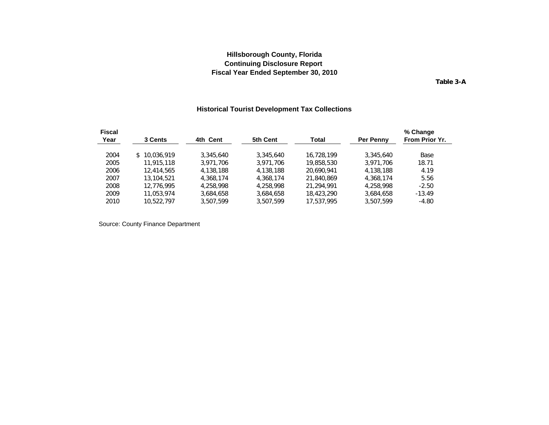**Table 3-A**

### **Historical Tourist Development Tax Collections**

<span id="page-14-0"></span>

| <b>Fiscal</b> |              |           |           |            |                  | % Change       |
|---------------|--------------|-----------|-----------|------------|------------------|----------------|
| Year          | 3 Cents      | 4th Cent  | 5th Cent  | Total      | <b>Per Penny</b> | From Prior Yr. |
| 2004          | \$10,036,919 | 3,345,640 | 3,345,640 | 16.728.199 | 3,345,640        | Base           |
| 2005          | 11,915,118   | 3.971.706 | 3.971.706 | 19,858,530 | 3.971.706        | 18.71          |
| 2006          | 12,414,565   | 4,138,188 | 4,138,188 | 20.690.941 | 4,138,188        | 4.19           |
| 2007          | 13,104,521   | 4.368.174 | 4.368.174 | 21,840,869 | 4.368.174        | 5.56           |
| 2008          | 12.776.995   | 4,258,998 | 4.258.998 | 21.294.991 | 4,258,998        | $-2.50$        |
| 2009          | 11.053.974   | 3.684.658 | 3.684.658 | 18,423,290 | 3.684.658        | $-13.49$       |
| 2010          | 10,522,797   | 3,507,599 | 3,507,599 | 17,537,995 | 3,507,599        | $-4.80$        |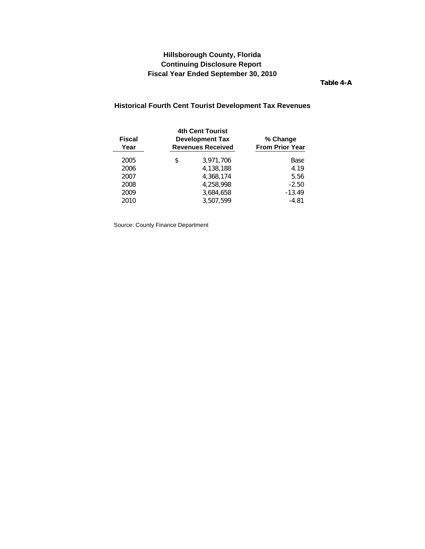**Table 4-A**

# <span id="page-15-0"></span>**Historical Fourth Cent Tourist Development Tax Revenues**

| Fiscal<br>Year | <b>4th Cent Tourist</b><br><b>Development Tax</b><br><b>Revenues Received</b> | % Change<br><b>From Prior Year</b> |  |  |
|----------------|-------------------------------------------------------------------------------|------------------------------------|--|--|
| 2005           | \$<br>3,971,706                                                               | Base                               |  |  |
| 2006           | 4,138,188                                                                     | 4.19                               |  |  |
| 2007           | 4.368.174                                                                     | 5.56                               |  |  |
| 2008           | 4,258,998                                                                     | $-2.50$                            |  |  |
| 2009           | 3,684,658                                                                     | $-13.49$                           |  |  |
| 2010           | 3.507.599                                                                     | $-4.81$                            |  |  |
|                |                                                                               |                                    |  |  |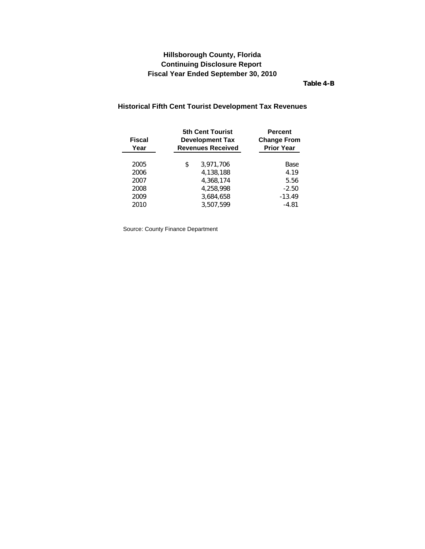**Table 4-B**

### <span id="page-16-0"></span>**Historical Fifth Cent Tourist Development Tax Revenues**

| <b>Fiscal</b><br>Year | <b>5th Cent Tourist</b><br><b>Development Tax</b><br><b>Revenues Received</b> | <b>Percent</b><br><b>Change From</b><br><b>Prior Year</b> |  |
|-----------------------|-------------------------------------------------------------------------------|-----------------------------------------------------------|--|
| 2005                  | \$<br>3,971,706                                                               | Base                                                      |  |
| 2006                  | 4,138,188                                                                     | 4.19                                                      |  |
| 2007                  | 4,368,174                                                                     | 5.56                                                      |  |
| 2008                  | 4,258,998                                                                     | $-2.50$                                                   |  |
| 2009                  | 3,684,658                                                                     | $-13.49$                                                  |  |
| 2010                  | 3.507.599                                                                     | $-4.81$                                                   |  |
|                       |                                                                               |                                                           |  |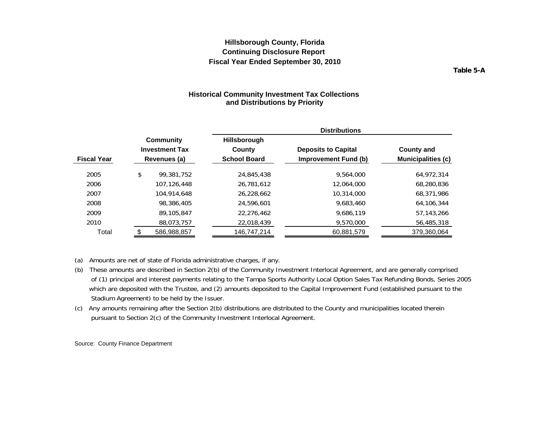**Table 5-A**

#### **Historical Community Investment Tax Collections and Distributions by Priority**

<span id="page-17-0"></span>

|                    |                                    | <b>Distributions</b>          |                            |                             |                           |  |  |  |
|--------------------|------------------------------------|-------------------------------|----------------------------|-----------------------------|---------------------------|--|--|--|
|                    | Community<br><b>Investment Tax</b> | <b>Hillsborough</b><br>County | <b>Deposits to Capital</b> |                             | <b>County and</b>         |  |  |  |
| <b>Fiscal Year</b> | Revenues (a)                       | <b>School Board</b>           |                            | <b>Improvement Fund (b)</b> | <b>Municipalities (c)</b> |  |  |  |
| 2005               | \$<br>99.381.752                   | 24,845,438                    |                            | 9,564,000                   | 64.972.314                |  |  |  |
| 2006               | 107.126.448                        | 26.781.612                    |                            | 12.064.000                  | 68,280,836                |  |  |  |
| 2007               | 104.914.648                        | 26,228,662                    |                            | 10.314.000                  | 68,371,986                |  |  |  |
| 2008               | 98,386,405                         | 24,596,601                    |                            | 9,683,460                   | 64,106,344                |  |  |  |
| 2009               | 89,105,847                         | 22,276,462                    |                            | 9,686,119                   | 57.143.266                |  |  |  |
| 2010               | 88,073,757                         | 22,018,439                    |                            | 9,570,000                   | 56,485,318                |  |  |  |
| Total              | 586,988,857                        | 146,747,214                   |                            | 60,881,579                  | 379,360,064               |  |  |  |

(a) Amounts are net of state of Florida administrative charges, if any.

- (b) These amounts are described in Section 2(b) of the Community Investment Interlocal Agreement, and are generally comprised of (1) principal and interest payments relating to the Tampa Sports Authority Local Option Sales Tax Refunding Bonds, Series 2005 which are deposited with the Trustee, and (2) amounts deposited to the Capital Improvement Fund (established pursuant to the Stadium Agreement) to be held by the Issuer.
- (c) Any amounts remaining after the Section 2(b) distributions are distributed to the County and municipalities located therein pursuant to Section 2(c) of the Community Investment Interlocal Agreement.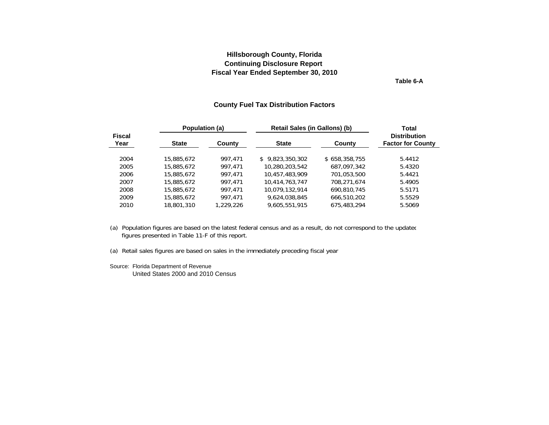**Table 6-A**

#### **County Fuel Tax Distribution Factors**

<span id="page-18-0"></span>

|                       | Population (a) |           | Retail Sales (in Gallons) (b) | <b>Total</b>  |                                                 |
|-----------------------|----------------|-----------|-------------------------------|---------------|-------------------------------------------------|
| <b>Fiscal</b><br>Year | <b>State</b>   | County    | <b>State</b>                  | County        | <b>Distribution</b><br><b>Factor for County</b> |
| 2004                  | 15,885,672     | 997.471   | \$9,823,350,302               | \$658,358,755 | 5.4412                                          |
| 2005                  | 15,885,672     | 997.471   | 10,280,203,542                | 687,097,342   | 5.4320                                          |
| 2006                  | 15,885,672     | 997.471   | 10,457,483,909                | 701.053.500   | 5.4421                                          |
| 2007                  | 15,885,672     | 997.471   | 10,414,763,747                | 708.271.674   | 5.4905                                          |
| 2008                  | 15,885,672     | 997.471   | 10,079,132,914                | 690,810,745   | 5.5171                                          |
| 2009                  | 15,885,672     | 997.471   | 9,624,038,845                 | 666,510,202   | 5.5529                                          |
| 2010                  | 18,801,310     | 1,229,226 | 9,605,551,915                 | 675,483,294   | 5.5069                                          |

(a) Population figures are based on the latest federal census and as a result, do not correspond to the updated figures presented in Table 11-F of this report.

(a) Retail sales figures are based on sales in the immediately preceding fiscal year

Source: Florida Department of Revenue United States 2000 and 2010 Census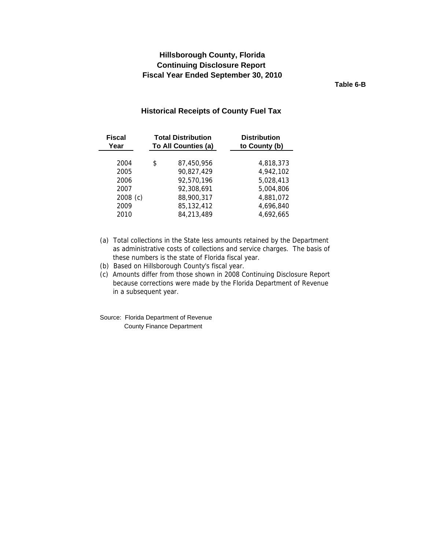## <span id="page-19-0"></span>**Continuing Disclosure Report Hillsborough County, Florida Fiscal Year Ended September 30, 2010**

**Table 6-B**

#### **Historical Receipts of County Fuel Tax**

| <b>Fiscal</b><br>Year | <b>Total Distribution</b><br>To All Counties (a) | <b>Distribution</b><br>to County (b) |
|-----------------------|--------------------------------------------------|--------------------------------------|
|                       |                                                  |                                      |
| 2004                  | \$<br>87,450,956                                 | 4,818,373                            |
| 2005                  | 90,827,429                                       | 4,942,102                            |
| 2006                  | 92,570,196                                       | 5,028,413                            |
| 2007                  | 92,308,691                                       | 5,004,806                            |
| $2008$ (c)            | 88,900,317                                       | 4,881,072                            |
| 2009                  | 85,132,412                                       | 4,696,840                            |
| 2010                  | 84,213,489                                       | 4,692,665                            |

- (a) Total collections in the State less amounts retained by the Department as administrative costs of collections and service charges. The basis of these numbers is the state of Florida fiscal year.
- (b) Based on Hillsborough County's fiscal year.

(c) Amounts differ from those shown in 2008 Continuing Disclosure Report because corrections were made by the Florida Department of Revenue in a subsequent year.

Source: Florida Department of Revenue County Finance Department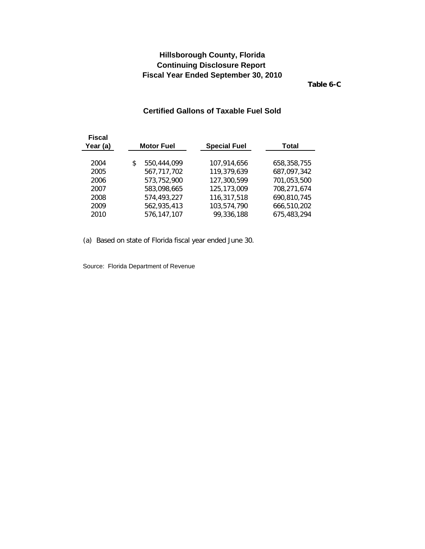**Table 6-C**

### **Certified Gallons of Taxable Fuel Sold**

<span id="page-20-0"></span>

| Fiscal<br>Year (a) | <b>Motor Fuel</b> | <b>Special Fuel</b> |            | Total       |  |
|--------------------|-------------------|---------------------|------------|-------------|--|
| 2004               | \$<br>550,444,099 | 107,914,656         |            | 658,358,755 |  |
|                    |                   |                     |            |             |  |
| 2005               | 567,717,702       | 119,379,639         |            | 687,097,342 |  |
| 2006               | 573,752,900       | 127,300,599         |            | 701,053,500 |  |
| 2007               | 583,098,665       | 125,173,009         |            | 708,271,674 |  |
| 2008               | 574,493,227       | 116,317,518         |            | 690,810,745 |  |
| 2009               | 562,935,413       | 103,574,790         |            | 666,510,202 |  |
| 2010               | 576,147,107       |                     | 99,336,188 | 675,483,294 |  |

(a) Based on state of Florida fiscal year ended June 30.

Source: Florida Department of Revenue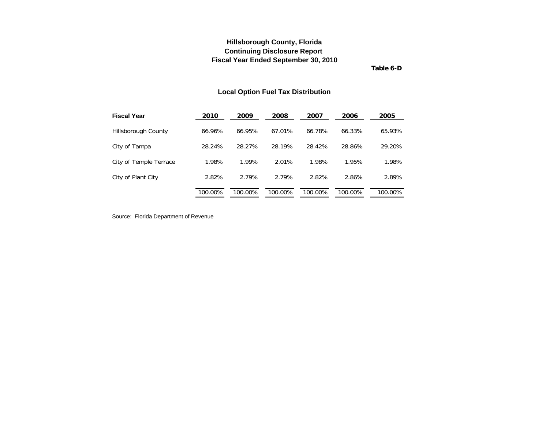**Table 6-D**

### **Local Option Fuel Tax Distribution**

<span id="page-21-0"></span>

| <b>Fiscal Year</b>     | 2010    | 2009    | 2008    | 2007    | 2006    | 2005    |
|------------------------|---------|---------|---------|---------|---------|---------|
| Hillsborough County    | 66.96%  | 66.95%  | 67.01%  | 66.78%  | 66.33%  | 65.93%  |
| City of Tampa          | 28.24%  | 28.27%  | 28.19%  | 28.42%  | 28.86%  | 29.20%  |
| City of Temple Terrace | 1.98%   | 1.99%   | 2.01%   | 1.98%   | 1.95%   | 1.98%   |
| City of Plant City     | 2.82%   | 2.79%   | 2.79%   | 2.82%   | 2.86%   | 2.89%   |
|                        | 100.00% | 100.00% | 100.00% | 100.00% | 100.00% | 100.00% |

Source: Florida Department of Revenue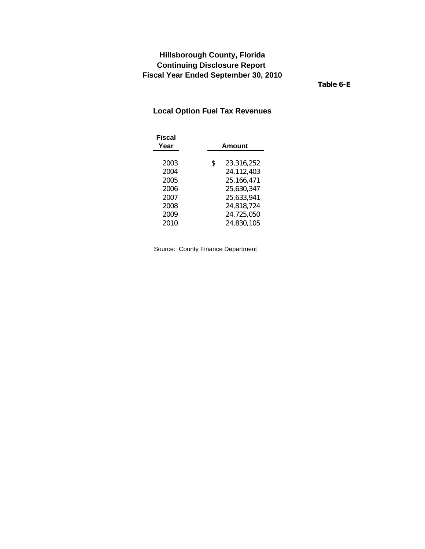**Table 6-E**

## <span id="page-22-0"></span>**Local Option Fuel Tax Revenues**

| Fiscal<br>Year | Amount           |
|----------------|------------------|
|                |                  |
| 2003           | \$<br>23,316,252 |
| 2004           | 24,112,403       |
| 2005           | 25,166,471       |
| 2006           | 25,630,347       |
| 2007           | 25.633.941       |
| 2008           | 24,818,724       |
| 2009           | 24,725,050       |
| 2010           | 24,830,105       |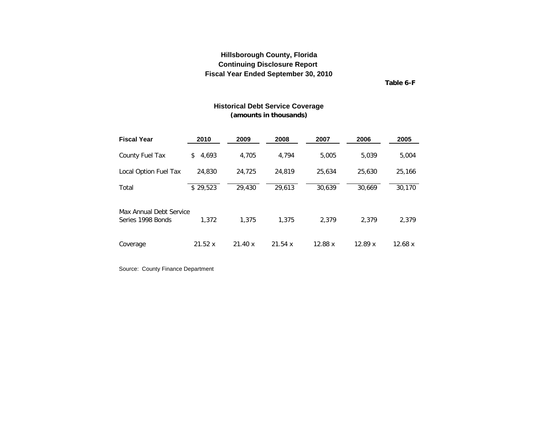**Table 6-F**

#### **Historical Debt Service Coverage (amounts in thousands)**

<span id="page-23-0"></span>

| <b>Fiscal Year</b>                           | 2010        | 2009   | 2008   | 2007    | 2006   | 2005    |
|----------------------------------------------|-------------|--------|--------|---------|--------|---------|
| County Fuel Tax                              | 4,693<br>\$ | 4.705  | 4.794  | 5,005   | 5.039  | 5,004   |
| Local Option Fuel Tax                        | 24,830      | 24,725 | 24,819 | 25,634  | 25,630 | 25,166  |
| Total                                        | \$29,523    | 29,430 | 29,613 | 30.639  | 30.669 | 30,170  |
| Max Annual Debt Service<br>Series 1998 Bonds | 1.372       | 1,375  | 1.375  | 2.379   | 2.379  | 2,379   |
| Coverage                                     | 21.52x      | 21.40x | 21.54x | 12.88 x | 12.89x | 12.68 x |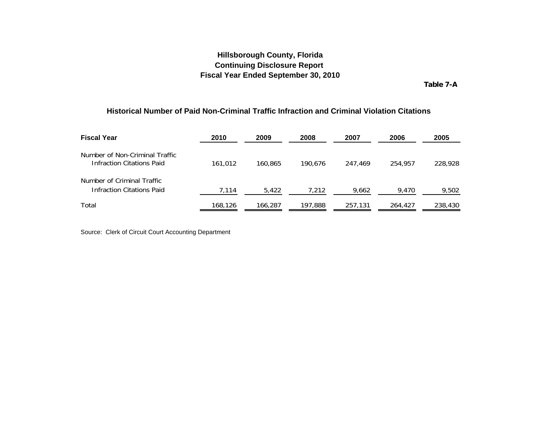**Table 7-A**

#### <span id="page-24-0"></span>**Historical Number of Paid Non-Criminal Traffic Infraction and Criminal Violation Citations**

| <b>Fiscal Year</b>                                                 | 2010    | 2009    | 2008    | 2007    | 2006    | 2005    |
|--------------------------------------------------------------------|---------|---------|---------|---------|---------|---------|
| Number of Non-Criminal Traffic<br><b>Infraction Citations Paid</b> | 161,012 | 160.865 | 190.676 | 247.469 | 254.957 | 228,928 |
| Number of Criminal Traffic<br>Infraction Citations Paid            | 7,114   | 5,422   | 7,212   | 9,662   | 9,470   | 9,502   |
| Total                                                              | 168,126 | 166,287 | 197,888 | 257,131 | 264,427 | 238,430 |

Source: Clerk of Circuit Court Accounting Department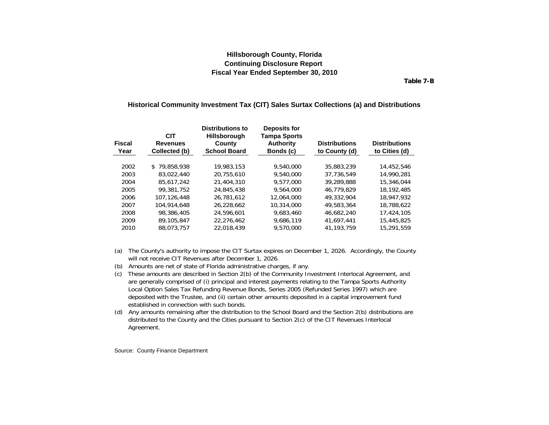**Table 7-B**

#### <span id="page-25-0"></span>**Historical Community Investment Tax (CIT) Sales Surtax Collections (a) and Distributions**

| <b>Fiscal</b><br>Year | <b>CIT</b><br><b>Revenues</b><br>Collected (b) | <b>Distributions to</b><br><b>Hillsborough</b><br>County<br><b>School Board</b> | Deposits for<br><b>Tampa Sports</b><br><b>Authority</b><br>Bonds (c) | <b>Distributions</b><br>to County (d) | <b>Distributions</b><br>to Cities (d) |
|-----------------------|------------------------------------------------|---------------------------------------------------------------------------------|----------------------------------------------------------------------|---------------------------------------|---------------------------------------|
| 2002                  | \$79,858,938                                   | 19,983,153                                                                      | 9,540,000                                                            | 35,883,239                            | 14,452,546                            |
| 2003                  | 83,022,440                                     | 20.755.610                                                                      | 9,540,000                                                            | 37.736.549                            | 14,990,281                            |
| 2004                  | 85.617.242                                     | 21,404,310                                                                      | 9.577.000                                                            | 39,289,888                            | 15,346,044                            |
| 2005                  | 99,381,752                                     | 24,845,438                                                                      | 9,564,000                                                            | 46.779.829                            | 18.192.485                            |
| 2006                  | 107.126.448                                    | 26.781.612                                                                      | 12,064,000                                                           | 49,332,904                            | 18,947,932                            |
| 2007                  | 104,914,648                                    | 26.228.662                                                                      | 10,314,000                                                           | 49,583,364                            | 18.788.622                            |
| 2008                  | 98,386,405                                     | 24,596,601                                                                      | 9,683,460                                                            | 46.682.240                            | 17,424,105                            |
| 2009                  | 89,105,847                                     | 22.276.462                                                                      | 9.686.119                                                            | 41.697.441                            | 15,445,825                            |
| 2010                  | 88.073.757                                     | 22.018.439                                                                      | 9,570,000                                                            | 41.193.759                            | 15.291.559                            |

- (a) The County's authority to impose the CIT Surtax expires on December 1, 2026. Accordingly, the County will not receive CIT Revenues after December 1, 2026.
- (b) Amounts are net of state of Florida administrative charges, if any.
- (c) These amounts are described in Section 2(b) of the Community Investment Interlocal Agreement, and are generally comprised of (i) principal and interest payments relating to the Tampa Sports Authority Local Option Sales Tax Refunding Revenue Bonds, Series 2005 (Refunded Series 1997) which are deposited with the Trustee, and (ii) certain other amounts deposited in a capital improvement fund established in connection with such bonds.
- (d) Any amounts remaining after the distribution to the School Board and the Section 2(b) distributions are distributed to the County and the Cities pursuant to Section 2(c) of the CIT Revenues Interlocal Agreement.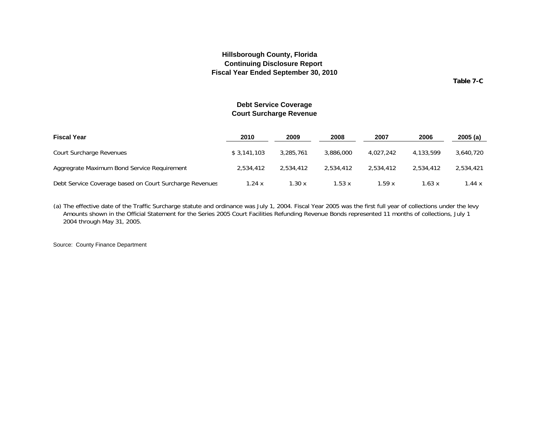**Table 7-C**

#### **Debt Service Coverage Court Surcharge Revenue**

<span id="page-26-0"></span>

| <b>Fiscal Year</b>                                      | 2010        | 2009      | 2008      | 2007      | 2006      | 2005(a)   |
|---------------------------------------------------------|-------------|-----------|-----------|-----------|-----------|-----------|
| Court Surcharge Revenues                                | \$3.141.103 | 3.285.761 | 3,886,000 | 4,027,242 | 4.133.599 | 3,640,720 |
| Aggregrate Maximum Bond Service Reguirement             | 2.534.412   | 2.534.412 | 2.534.412 | 2.534.412 | 2.534.412 | 2,534,421 |
| Debt Service Coverage based on Court Surcharge Revenues | 1.24 x      | 1.30 x    | 1.53 x    | 1.59x     | 1.63 x    | 1.44x     |

(a) The effective date of the Traffic Surcharge statute and ordinance was July 1, 2004. Fiscal Year 2005 was the first full year of collections under the levy Amounts shown in the Official Statement for the Series 2005 Court Facilities Refunding Revenue Bonds represented 11 months of collections, July 1, 2004 through May 31, 2005.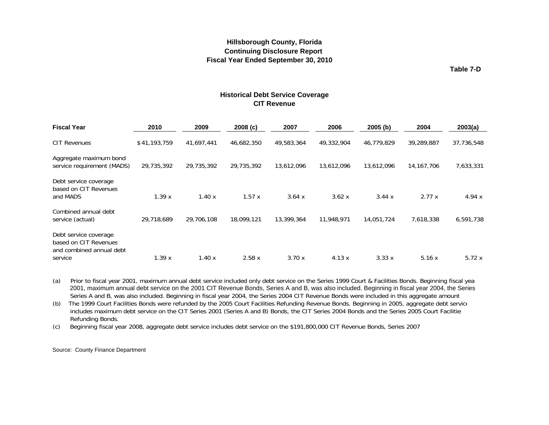**Table 7-D**

#### **Historical Debt Service Coverage CIT Revenue**

<span id="page-27-0"></span>

| <b>Fiscal Year</b>                                                                    | 2010         | 2009       | 2008(c)    | 2007       | 2006       | 2005(b)    | 2004         | 2003(a)    |
|---------------------------------------------------------------------------------------|--------------|------------|------------|------------|------------|------------|--------------|------------|
| <b>CIT Revenues</b>                                                                   | \$41,193,759 | 41,697,441 | 46,682,350 | 49,583,364 | 49,332,904 | 46,779,829 | 39,289,887   | 37,736,548 |
| Aggregate maximum bond<br>service requirement (MADS)                                  | 29,735,392   | 29,735,392 | 29,735,392 | 13,612,096 | 13,612,096 | 13,612,096 | 14, 167, 706 | 7,633,331  |
| Debt service coverage<br>based on CIT Revenues<br>and MADS                            | 1.39x        | 1.40x      | 1.57x      | 3.64 x     | 3.62 x     | 3.44x      | 2.77x        | 4.94 $x$   |
| Combined annual debt<br>service (actual)                                              | 29.718.689   | 29,706,108 | 18,099,121 | 13,399,364 | 11,948,971 | 14,051,724 | 7,618,338    | 6,591,738  |
| Debt service coverage<br>based on CIT Revenues<br>and combined annual debt<br>service | 1.39x        | 1.40x      | 2.58x      | 3.70x      | 4.13x      | 3.33x      | 5.16x        | 5.72x      |

(a) Prior to fiscal year 2001, maximum annual debt service included only debt service on the Series 1999 Court & Facilities Bonds. Beginning fiscal yea 2001, maximum annual debt service on the 2001 CIT Revenue Bonds, Series A and B, was also included. Beginning in fiscal year 2004, the Series Series A and B, was also included. Beginning in fiscal year 2004, the Series 2004 CIT Revenue Bonds were included in this aggregate amount

includes maximum debt service on the CIT Series 2001 (Series A and B) Bonds, the CIT Series 2004 Bonds and the Series 2005 Court Facilitie: Refunding Bonds. (b) The 1999 Court Facilities Bonds were refunded by the 2005 Court Facilities Refunding Revenue Bonds. Beginning in 2005, aggregate debt service

(c) Beginning fiscal year 2008, aggregate debt service includes debt service on the \$191,800,000 CIT Revenue Bonds, Series 2007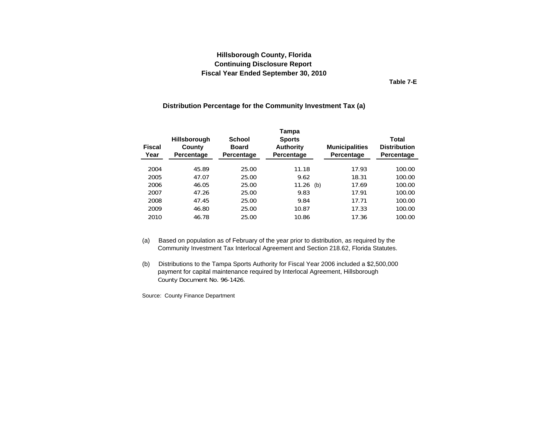**Table 7-E**

#### **Distribution Percentage for the Community Investment Tax (a)**

<span id="page-28-0"></span>

| <b>Fiscal</b><br>Year | <b>Hillsborough</b><br>County<br>Percentage | <b>School</b><br><b>Board</b><br>Percentage | Tampa<br><b>Sports</b><br><b>Authority</b><br>Percentage | <b>Municipalities</b><br>Percentage | <b>Total</b><br><b>Distribution</b><br>Percentage |
|-----------------------|---------------------------------------------|---------------------------------------------|----------------------------------------------------------|-------------------------------------|---------------------------------------------------|
| 2004                  | 45.89                                       | 25.00                                       | 11.18                                                    | 17.93                               | 100.00                                            |
| 2005                  | 47.07                                       | 25.00                                       | 9.62                                                     | 18.31                               | 100.00                                            |
| 2006                  | 46.05                                       | 25.00                                       | 11.26<br>(b)                                             | 17.69                               | 100.00                                            |
| 2007                  | 47.26                                       | 25.00                                       | 9.83                                                     | 17.91                               | 100.00                                            |
| 2008                  | 47.45                                       | 25.00                                       | 9.84                                                     | 17.71                               | 100.00                                            |
| 2009                  | 46.80                                       | 25.00                                       | 10.87                                                    | 17.33                               | 100.00                                            |
| 2010                  | 46.78                                       | 25.00                                       | 10.86                                                    | 17.36                               | 100.00                                            |

- (a) Based on population as of February of the year prior to distribution, as required by the Community Investment Tax Interlocal Agreement and Section 218.62, Florida Statutes.
- (b) Distributions to the Tampa Sports Authority for Fiscal Year 2006 included a \$2,500,000 payment for capital maintenance required by Interlocal Agreement, Hillsborough County Document No. 96-1426.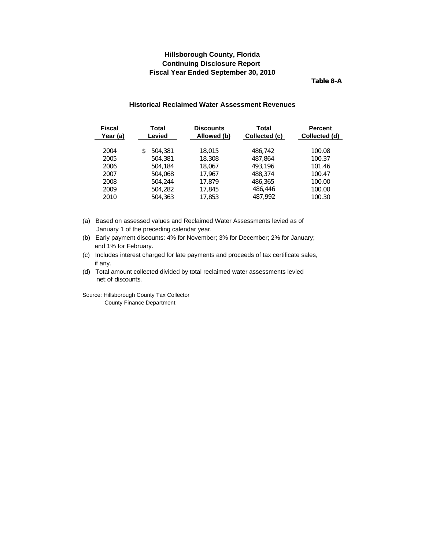**Table 8-A**

#### **Historical Reclaimed Water Assessment Revenues**

<span id="page-29-0"></span>

| <b>Fiscal</b><br>Year (a) | Total<br><b>Discounts</b><br>Total<br>Levied<br>Collected (c)<br>Allowed (b) |        |         | <b>Percent</b><br>Collected (d) |  |  |
|---------------------------|------------------------------------------------------------------------------|--------|---------|---------------------------------|--|--|
| 2004                      | 504,381<br>\$                                                                | 18,015 | 486,742 | 100.08                          |  |  |
| 2005                      | 504,381                                                                      | 18,308 | 487.864 | 100.37                          |  |  |
| 2006                      | 504,184                                                                      | 18.067 | 493,196 | 101.46                          |  |  |
| 2007                      | 504,068                                                                      | 17.967 | 488,374 | 100.47                          |  |  |
| 2008                      | 504,244                                                                      | 17.879 | 486,365 | 100.00                          |  |  |
| 2009                      | 504,282                                                                      | 17,845 | 486,446 | 100.00                          |  |  |
| 2010                      | 504,363                                                                      | 17.853 | 487.992 | 100.30                          |  |  |
|                           |                                                                              |        |         |                                 |  |  |

- (a) Based on assessed values and Reclaimed Water Assessments levied as of January 1 of the preceding calendar year.
- (b) Early payment discounts: 4% for November; 3% for December; 2% for January; and 1% for February.
- (c) Includes interest charged for late payments and proceeds of tax certificate sales, if any.
- (d) Total amount collected divided by total reclaimed water assessments levied net of discounts.

Source: Hillsborough County Tax Collector County Finance Department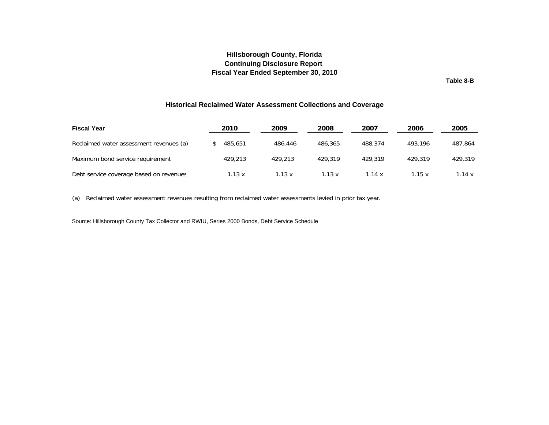**Table 8-B**

#### **Historical Reclaimed Water Assessment Collections and Coverage**

<span id="page-30-0"></span>

| <b>Fiscal Year</b>                      | 2010    | 2009    | 2008          | 2007    | 2006    | 2005    |
|-----------------------------------------|---------|---------|---------------|---------|---------|---------|
| Reclaimed water assessment revenues (a) | 485,651 | 486,446 | 486,365       | 488,374 | 493.196 | 487.864 |
| Maximum bond service requirement        | 429,213 | 429.213 | 429,319       | 429,319 | 429.319 | 429,319 |
| Debt service coverage based on revenues | 1.13 x  | 1.13 x  | $1.13 \times$ | 1.14 x  | 1.15x   | 1.14x   |

(a) Reclaimed water assessment revenues resulting from reclaimed water assessments levied in prior tax year.

Source: Hillsborough County Tax Collector and RWIU, Series 2000 Bonds, Debt Service Schedule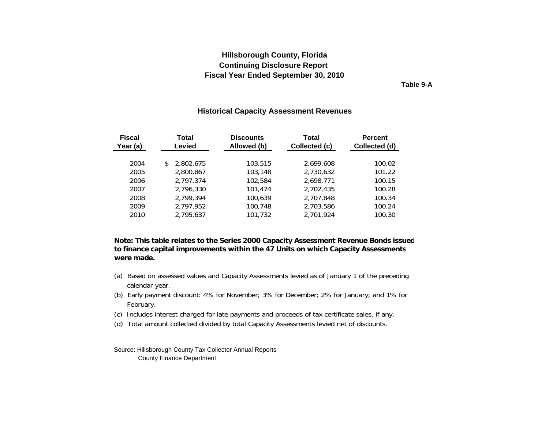**Table 9-A**

#### **Historical Capacity Assessment Revenues**

<span id="page-31-0"></span>

| <b>Fiscal</b><br>Year (a) | Total<br>Levied | <b>Discounts</b><br>Allowed (b) | Total<br>Collected (c) | <b>Percent</b><br>Collected (d) |
|---------------------------|-----------------|---------------------------------|------------------------|---------------------------------|
| 2004                      | 2,802,675       | 103,515                         | 2.699.608              | 100.02                          |
| 2005                      | 2,800,867       | 103,148                         | 2,730,632              | 101.22                          |
| 2006                      | 2.797.374       | 102,584                         | 2,698,771              | 100.15                          |
| 2007                      | 2,796,330       | 101,474                         | 2,702,435              | 100.28                          |
| 2008                      | 2,799,394       | 100,639                         | 2,707,848              | 100.34                          |
| 2009                      | 2,797,952       | 100,748                         | 2,703,586              | 100.24                          |
| 2010                      | 2,795,637       | 101,732                         | 2,701,924              | 100.30                          |

**Note: This table relates to the Series 2000 Capacity Assessment Revenue Bonds issued to finance capital improvements within the 47 Units on which Capacity Assessments were made.** 

- (a) Based on assessed values and Capacity Assessments levied as of January 1 of the preceding calendar year.
- (b) Early payment discount: 4% for November; 3% for December; 2% for January; and 1% for February.
- (c) Includes interest charged for late payments and proceeds of tax certificate sales, if any.
- (d) Total amount collected divided by total Capacity Assessments levied net of discounts.

Source: Hillsborough County Tax Collector Annual Reports County Finance Department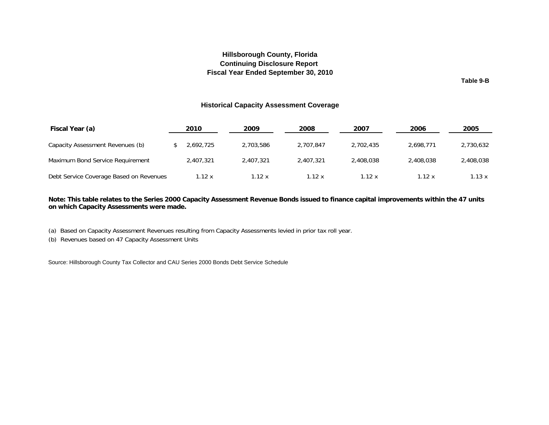#### **Hillsborough County, Florida Fiscal Year Ended September 30, 2010 Continuing Disclosure Report**

**Table 9-B**

#### **Historical Capacity Assessment Coverage**

<span id="page-32-0"></span>

| Fiscal Year (a)                         | 2010      | 2009      | 2008      | 2007      | 2006      | 2005      |
|-----------------------------------------|-----------|-----------|-----------|-----------|-----------|-----------|
| Capacity Assessment Revenues (b)        | 2.692.725 | 2.703.586 | 2.707.847 | 2.702.435 | 2.698.771 | 2,730,632 |
| Maximum Bond Service Requirement        | 2.407.321 | 2.407.321 | 2,407,321 | 2,408,038 | 2,408,038 | 2,408,038 |
| Debt Service Coverage Based on Revenues | 1.12 x    | 1.12 x    | 1.12 x    | 1.12 x    | 1.12 x    | 1.13 x    |

**Note: This table relates to the Series 2000 Capacity Assessment Revenue Bonds issued to finance capital improvements within the 47 units on which Capacity Assessments were made.** 

(a) Based on Capacity Assessment Revenues resulting from Capacity Assessments levied in prior tax roll year.

(b) Revenues based on 47 Capacity Assessment Units

Source: Hillsborough County Tax Collector and CAU Series 2000 Bonds Debt Service Schedule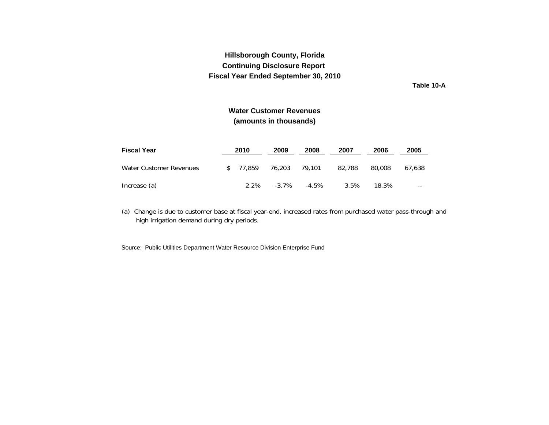**Table 10-A**

## **Water Customer Revenues(amounts in thousands)**

<span id="page-33-0"></span>

| <b>Fiscal Year</b>      | 2010      | 2009     | 2008   | 2007   | 2006   | 2005   |
|-------------------------|-----------|----------|--------|--------|--------|--------|
| Water Customer Revenues | \$ 77.859 | 76.203   | 79.101 | 82.788 | 80.008 | 67.638 |
| Increase (a)            | $2.2\%$   | $-3.7\%$ | -4.5%  | 3.5%   | 18.3%  | $- -$  |

(a) Change is due to customer base at fiscal year-end, increased rates from purchased water pass-through and high irrigation demand during dry periods.

Source: Public Utilities Department Water Resource Division Enterprise Fund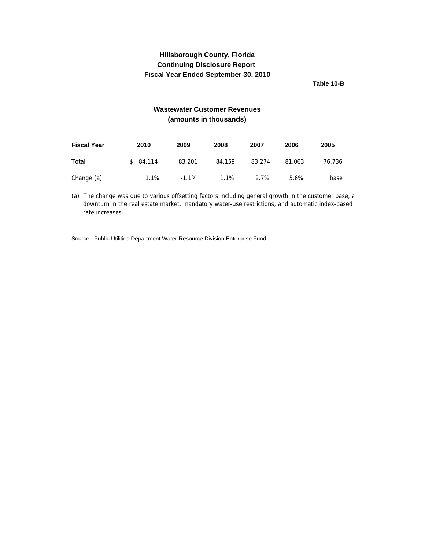**Table 10-B**

## **Wastewater Customer Revenues (amounts in thousands)**

<span id="page-34-0"></span>

| <b>Fiscal Year</b> | 2010         | 2009    | 2008   | 2007   | 2006   | 2005   |
|--------------------|--------------|---------|--------|--------|--------|--------|
| Total              | 84,114<br>\$ | 83,201  | 84,159 | 83,274 | 81,063 | 76.736 |
| Change (a)         | 1.1%         | $-1.1%$ | 1.1%   | 2.7%   | 5.6%   | base   |

(a) The change was due to various offsetting factors including general growth in the customer base, a downturn in the real estate market, mandatory water-use restrictions, and automatic index-based rate increases.

Source: Public Utilities Department Water Resource Division Enterprise Fund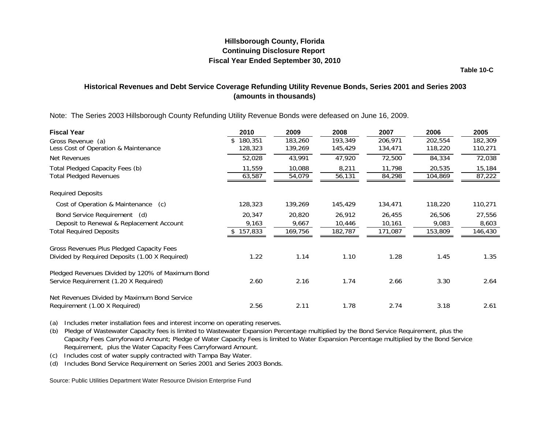**Table 10-C**

## <span id="page-35-0"></span>**Historical Revenues and Debt Service Coverage Refunding Utility Revenue Bonds, Series 2001 and Series 2003 (amounts in thousands)**

Note: The Series 2003 Hillsborough County Refunding Utility Revenue Bonds were defeased on June 16, 2009.

| <b>Fiscal Year</b>                               | 2010      | 2009    | 2008    | 2007    | 2006    | 2005    |
|--------------------------------------------------|-----------|---------|---------|---------|---------|---------|
| Gross Revenue (a)                                | 180,351   | 183,260 | 193,349 | 206,971 | 202,554 | 182,309 |
| Less Cost of Operation & Maintenance             | 128,323   | 139,269 | 145,429 | 134,471 | 118,220 | 110,271 |
| Net Revenues                                     | 52,028    | 43,991  | 47,920  | 72,500  | 84,334  | 72,038  |
| Total Pledged Capacity Fees (b)                  | 11,559    | 10,088  | 8,211   | 11,798  | 20,535  | 15,184  |
| <b>Total Pledged Revenues</b>                    | 63,587    | 54,079  | 56,131  | 84,298  | 104,869 | 87,222  |
| <b>Required Deposits</b>                         |           |         |         |         |         |         |
| Cost of Operation & Maintenance (c)              | 128,323   | 139,269 | 145,429 | 134,471 | 118,220 | 110,271 |
| Bond Service Requirement (d)                     | 20,347    | 20,820  | 26,912  | 26,455  | 26,506  | 27,556  |
| Deposit to Renewal & Replacement Account         | 9,163     | 9,667   | 10,446  | 10,161  | 9,083   | 8,603   |
| <b>Total Required Deposits</b>                   | \$157,833 | 169,756 | 182,787 | 171,087 | 153,809 | 146,430 |
| Gross Revenues Plus Pledged Capacity Fees        |           |         |         |         |         |         |
| Divided by Required Deposits (1.00 X Required)   | 1.22      | 1.14    | 1.10    | 1.28    | 1.45    | 1.35    |
| Pledged Revenues Divided by 120% of Maximum Bond |           |         |         |         |         |         |
| Service Requirement (1.20 X Required)            | 2.60      | 2.16    | 1.74    | 2.66    | 3.30    | 2.64    |
| Net Revenues Divided by Maximum Bond Service     |           |         |         |         |         |         |
| Requirement (1.00 X Required)                    | 2.56      | 2.11    | 1.78    | 2.74    | 3.18    | 2.61    |

(a) Includes meter installation fees and interest income on operating reserves.

(b) Pledge of Wastewater Capacity fees is limited to Wastewater Expansion Percentage multiplied by the Bond Service Requirement, plus the Capacity Fees Carryforward Amount; Pledge of Water Capacity Fees is limited to Water Expansion Percentage multiplied by the Bond Service Requirement, plus the Water Capacity Fees Carryforward Amount.

(c) Includes cost of water supply contracted with Tampa Bay Water.

(d) Includes Bond Service Requirement on Series 2001 and Series 2003 Bonds.

Source: Public Utilities Department Water Resource Division Enterprise Fund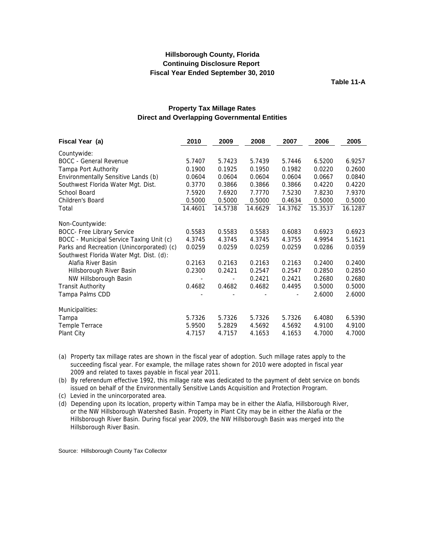**Table 11-A**

<span id="page-36-0"></span>

| Fiscal Year (a)                           | 2010    | 2009                         | 2008    | 2007    | 2006    | 2005    |
|-------------------------------------------|---------|------------------------------|---------|---------|---------|---------|
| Countywide:                               |         |                              |         |         |         |         |
| <b>BOCC</b> - General Revenue             | 5.7407  | 5.7423                       | 5.7439  | 5.7446  | 6.5200  | 6.9257  |
| Tampa Port Authority                      | 0.1900  | 0.1925                       | 0.1950  | 0.1982  | 0.0220  | 0.2600  |
| Environmentally Sensitive Lands (b)       | 0.0604  | 0.0604                       | 0.0604  | 0.0604  | 0.0667  | 0.0840  |
| Southwest Florida Water Mgt. Dist.        | 0.3770  | 0.3866                       | 0.3866  | 0.3866  | 0.4220  | 0.4220  |
| School Board                              | 7.5920  | 7.6920                       | 7.7770  | 7.5230  | 7.8230  | 7.9370  |
| Children's Board                          | 0.5000  | 0.5000                       | 0.5000  | 0.4634  | 0.5000  | 0.5000  |
| Total                                     | 14.4601 | 14.5738                      | 14.6629 | 14.3762 | 15.3537 | 16.1287 |
| Non-Countywide:                           |         |                              |         |         |         |         |
| <b>BOCC- Free Library Service</b>         | 0.5583  | 0.5583                       | 0.5583  | 0.6083  | 0.6923  | 0.6923  |
| BOCC - Municipal Service Taxing Unit (c)  | 4.3745  | 4.3745                       | 4.3745  | 4.3755  | 4.9954  | 5.1621  |
| Parks and Recreation (Unincorporated) (c) | 0.0259  | 0.0259                       | 0.0259  | 0.0259  | 0.0286  | 0.0359  |
| Southwest Florida Water Mgt. Dist. (d):   |         |                              |         |         |         |         |
| Alafia River Basin                        | 0.2163  | 0.2163                       | 0.2163  | 0.2163  | 0.2400  | 0.2400  |
| Hillsborough River Basin                  | 0.2300  | 0.2421                       | 0.2547  | 0.2547  | 0.2850  | 0.2850  |
| NW Hillsborough Basin                     |         | $\qquad \qquad \blacksquare$ | 0.2421  | 0.2421  | 0.2680  | 0.2680  |
| <b>Transit Authority</b>                  | 0.4682  | 0.4682                       | 0.4682  | 0.4495  | 0.5000  | 0.5000  |
| Tampa Palms CDD                           |         |                              |         |         | 2.6000  | 2.6000  |
| Municipalities:                           |         |                              |         |         |         |         |
| Tampa                                     | 5.7326  | 5.7326                       | 5.7326  | 5.7326  | 6.4080  | 6.5390  |
| Temple Terrace                            | 5.9500  | 5.2829                       | 4.5692  | 4.5692  | 4.9100  | 4.9100  |
| Plant City                                | 4.7157  | 4.7157                       | 4.1653  | 4.1653  | 4.7000  | 4.7000  |

#### **Property Tax Millage Rates Direct and Overlapping Governmental Entities**

(a) Property tax millage rates are shown in the fiscal year of adoption. Such millage rates apply to the succeeding fiscal year. For example, the millage rates shown for 2010 were adopted in fiscal year 2009 and related to taxes payable in fiscal year 2011.

(b) By referendum effective 1992, this millage rate was dedicated to the payment of debt service on bonds issued on behalf of the Environmentally Sensitive Lands Acquisition and Protection Program.

(c) Levied in the unincorporated area.

 or the NW Hillsborough Watershed Basin. Property in Plant City may be in either the Alafia or the Hillsborough River Basin. During fiscal year 2009, the NW Hillsborough Basin was merged into the Hillsborough River Basin. (d) Depending upon its location, property within Tampa may be in either the Alafia, Hillsborough River,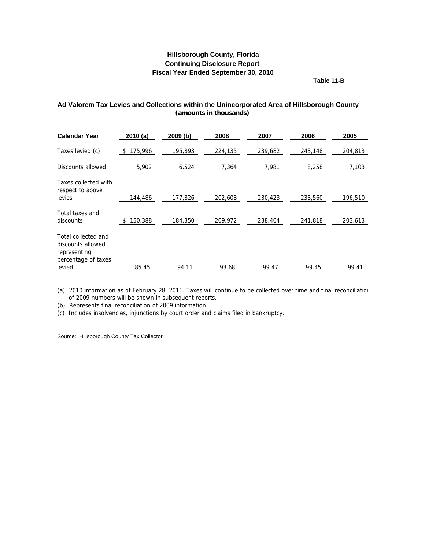**Table 11-B**

#### <span id="page-37-0"></span>**Ad Valorem Tax Levies and Collections within the Unincorporated Area of Hillsborough County (amounts in thousands)**

| <b>Calendar Year</b>                                                            | 2010(a)       | 2009 (b) | 2008    | 2007    | 2006    | 2005    |
|---------------------------------------------------------------------------------|---------------|----------|---------|---------|---------|---------|
| Taxes levied (c)                                                                | 175,996<br>\$ | 195,893  | 224,135 | 239,682 | 243,148 | 204,813 |
| Discounts allowed                                                               | 5,902         | 6,524    | 7,364   | 7,981   | 8,258   | 7,103   |
| Taxes collected with<br>respect to above                                        |               |          |         |         |         |         |
| levies                                                                          | 144,486       | 177,826  | 202.608 | 230,423 | 233,560 | 196,510 |
| Total taxes and<br>discounts                                                    | 150,388       | 184,350  | 209,972 | 238,404 | 241,818 | 203,613 |
| Total collected and<br>discounts allowed<br>representing<br>percentage of taxes |               |          |         |         |         |         |
| levied                                                                          | 85.45         | 94.11    | 93.68   | 99.47   | 99.45   | 99.41   |

(a) 2010 information as of February 28, 2011. Taxes will continue to be collected over time and final reconciliation of 2009 numbers will be shown in subsequent reports.

(b) Represents final reconciliation of 2009 information.

(c) Includes insolvencies, injunctions by court order and claims filed in bankruptcy.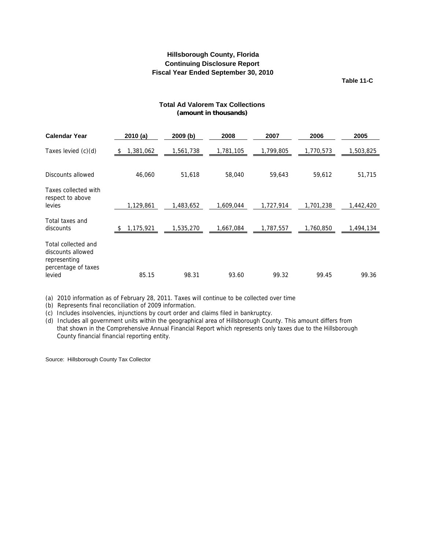**Table 11-C**

#### **Total Ad Valorem Tax Collections (amount in thousands)**

<span id="page-38-0"></span>

| <b>Calendar Year</b>                                                                      | 2010(a)         | 2009 (b)  | 2008      | 2007      | 2006      | 2005      |
|-------------------------------------------------------------------------------------------|-----------------|-----------|-----------|-----------|-----------|-----------|
| Taxes levied (c)(d)                                                                       | 1,381,062<br>\$ | 1,561,738 | 1,781,105 | 1,799,805 | 1,770,573 | 1,503,825 |
| Discounts allowed                                                                         | 46,060          | 51,618    | 58,040    | 59,643    | 59,612    | 51,715    |
| Taxes collected with<br>respect to above<br>levies                                        | 1,129,861       | 1,483,652 | 1,609,044 | 1,727,914 | 1,701,238 | 1,442,420 |
| Total taxes and<br>discounts                                                              | 1,175,921       | 1,535,270 | 1,667,084 | 1,787,557 | 1,760,850 | 1,494,134 |
| Total collected and<br>discounts allowed<br>representing<br>percentage of taxes<br>levied | 85.15           | 98.31     | 93.60     | 99.32     | 99.45     | 99.36     |

(a) 2010 information as of February 28, 2011. Taxes will continue to be collected over time

(b) Represents final reconciliation of 2009 information.

(c) Includes insolvencies, injunctions by court order and claims filed in bankruptcy.

(d) Includes all government units within the geographical area of Hillsborough County. This amount differs from that shown in the Comprehensive Annual Financial Report which represents only taxes due to the Hillsborough County financial financial reporting entity.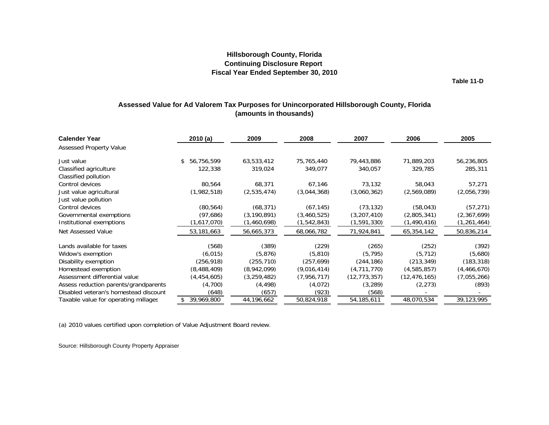**Table 11-D**

### **Assessed Value for Ad Valorem Tax Purposes for Unincorporated Hillsborough County, Florida (amounts in thousands)**

<span id="page-39-0"></span>

| <b>Calender Year</b>                  | 2010(a)          | 2009          | 2008          | 2007           | 2006           | 2005          |
|---------------------------------------|------------------|---------------|---------------|----------------|----------------|---------------|
| <b>Assessed Property Value</b>        |                  |               |               |                |                |               |
| Just value                            | \$<br>56,756,599 | 63,533,412    | 75,765,440    | 79,443,886     | 71,889,203     | 56,236,805    |
| Classified agriculture                | 122,338          | 319,024       | 349,077       | 340,057        | 329,785        | 285,311       |
| Classified pollution                  |                  |               |               |                |                |               |
| Control devices                       | 80,564           | 68,371        | 67,146        | 73.132         | 58,043         | 57,271        |
| Just value agricultural               | (1,982,518)      | (2,535,474)   | (3,044,368)   | (3,060,362)    | (2,569,089)    | (2,056,739)   |
| Just value pollution                  |                  |               |               |                |                |               |
| Control devices                       | (80, 564)        | (68, 371)     | (67, 145)     | (73, 132)      | (58, 043)      | (57, 271)     |
| Governmental exemptions               | (97,686)         | (3, 190, 891) | (3,460,525)   | (3,207,410)    | (2,805,341)    | (2,367,699)   |
| Institutional exemptions              | (1,617,070)      | (1,460,698)   | (1, 542, 843) | (1,591,330)    | (1,490,416)    | (1, 261, 464) |
| Net Assessed Value                    | 53,181,663       | 56,665,373    | 68,066,782    | 71,924,841     | 65,354,142     | 50,836,214    |
| Lands available for taxes             | (568)            | (389)         | (229)         | (265)          | (252)          | (392)         |
| Widow's exemption                     | (6, 015)         | (5,876)       | (5,810)       | (5, 795)       | (5, 712)       | (5,680)       |
| Disability exemption                  | (256, 918)       | (255, 710)    | (257, 699)    | (244, 186)     | (213, 349)     | (183, 318)    |
| Homestead exemption                   | (8,488,409)      | (8,942,099)   | (9,016,414)   | (4,711,770)    | (4,585,857)    | (4,466,670)   |
| Assessment differential value         | (4,454,605)      | (3, 259, 482) | (7,956,717)   | (12, 773, 357) | (12, 476, 165) | (7,055,266)   |
| Assess reduction parents/grandparents | (4,700)          | (4, 498)      | (4,072)       | (3, 289)       | (2, 273)       | (893)         |
| Disabled veteran's homestead discount | (648)            | (657)         | (923)         | (568)          |                |               |
| Taxable value for operating millages  | 39,969,800       | 44,196,662    | 50,824,918    | 54, 185, 611   | 48,070,534     | 39,123,995    |

(a) 2010 values certified upon completion of Value Adjustment Board review.

Source: Hillsborough County Property Appraiser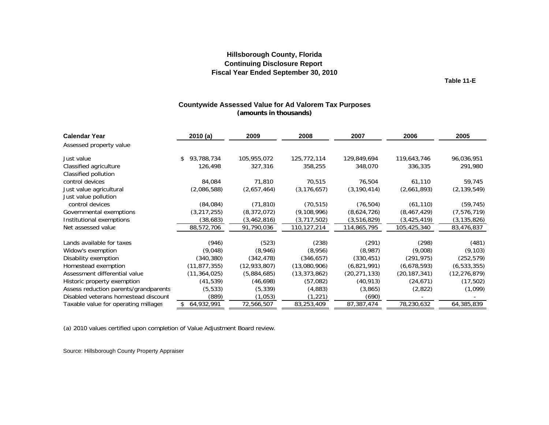**Table 11-E**

#### **Countywide Assessed Value for Ad Valorem Tax Purposes (amounts in thousands)**

<span id="page-40-0"></span>

| <b>Calendar Year</b>                           | 2010 (a)         | 2009           | 2008           | 2007           | 2006           | 2005           |
|------------------------------------------------|------------------|----------------|----------------|----------------|----------------|----------------|
| Assessed property value                        |                  |                |                |                |                |                |
| Just value                                     | 93,788,734<br>\$ | 105,955,072    | 125,772,114    | 129,849,694    | 119,643,746    | 96,036,951     |
| Classified agriculture<br>Classified pollution | 126,498          | 327,316        | 358,255        | 348,070        | 336,335        | 291,980        |
| control devices                                | 84,084           | 71,810         | 70,515         | 76,504         | 61,110         | 59,745         |
| Just value agricultural                        | (2,086,588)      | (2,657,464)    | (3, 176, 657)  | (3, 190, 414)  | (2,661,893)    | (2, 139, 549)  |
| Just value pollution                           |                  |                |                |                |                |                |
| control devices                                | (84,084)         | (71, 810)      | (70, 515)      | (76, 504)      | (61, 110)      | (59, 745)      |
| Governmental exemptions                        | (3, 217, 255)    | (8,372,072)    | (9, 108, 996)  | (8,624,726)    | (8,467,429)    | (7, 576, 719)  |
| Institutional exemptions                       | (38, 683)        | (3,462,816)    | (3,717,502)    | (3,516,829)    | (3, 425, 419)  | (3, 135, 826)  |
| Net assessed value                             | 88,572,706       | 91,790,036     | 110,127,214    | 114,865,795    | 105,425,340    | 83,476,837     |
| Lands available for taxes                      | (946)            | (523)          | (238)          | (291)          | (298)          | (481)          |
| Widow's exemption                              | (9,048)          | (8,946)        | (8,956)        | (8,987)        | (9,008)        | (9, 103)       |
| Disability exemption                           | (340, 380)       | (342, 478)     | (346, 657)     | (330, 451)     | (291, 975)     | (252, 579)     |
| Homestead exemption                            | (11, 877, 355)   | (12, 933, 807) | (13,080,906)   | (6,821,991)    | (6,678,593)    | (6, 533, 355)  |
| Assessment differential value                  | (11, 364, 025)   | (5,884,685)    | (13, 373, 862) | (20, 271, 133) | (20, 187, 341) | (12, 276, 879) |
| Historic property exemption                    | (41, 539)        | (46, 698)      | (57,082)       | (40, 913)      | (24, 671)      | (17, 502)      |
| Assess reduction parents/grandparents          | (5, 533)         | (5, 339)       | (4,883)        | (3,865)        | (2,822)        | (1,099)        |
| Disabled veterans homestead discount           | (889)            | (1,053)        | (1,221)        | (690)          |                |                |
| Taxable value for operating millages           | 64,932,991       | 72,566,507     | 83,253,409     | 87,387,474     | 78,230,632     | 64,385,839     |

(a) 2010 values certified upon completion of Value Adjustment Board review.

Source: Hillsborough County Property Appraiser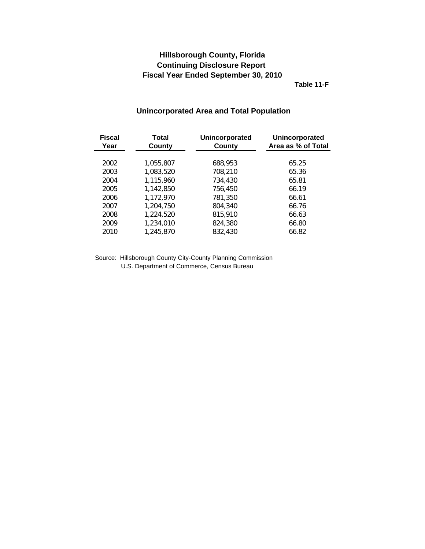**Table 11-F**

## <span id="page-41-0"></span>**Fiscal Total Unincorporated Unincorporated Year County County County Area as % of Total** 2002 1,055,807 688,953 65.25 2003 1,083,520 708,210 65.36 2004 1,115,960 734,430 65.81 2005 1,142,850 756,450 66.19 2006 1,172,970 781,350 66.61 2007 1,204,750 804,340 66.76 2008 1,224,520 815,910 66.63 2009 1,234,010 824,380 66.80 2010 1,245,870 832,430 66.82

## **Unincorporated Area and Total Population**

Source: Hillsborough County City-County Planning Commission U.S. Department of Commerce, Census Bureau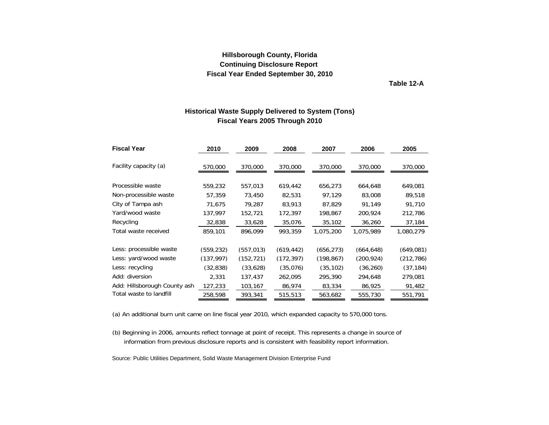**Table 12-A**

#### **Historical Waste Supply Delivered to System (Tons) Fiscal Years 2005 Through 2010**

<span id="page-42-0"></span>

| <b>Fiscal Year</b>           | 2010       | 2009       | 2008       | 2007       | 2006       | 2005       |
|------------------------------|------------|------------|------------|------------|------------|------------|
| Facility capacity (a)        | 570,000    | 370,000    | 370,000    | 370,000    | 370,000    | 370,000    |
|                              |            |            |            |            |            |            |
| Processible waste            | 559,232    | 557,013    | 619,442    | 656,273    | 664,648    | 649,081    |
| Non-processible waste        | 57,359     | 73,450     | 82,531     | 97,129     | 83,008     | 89,518     |
| City of Tampa ash            | 71,675     | 79,287     | 83,913     | 87,829     | 91,149     | 91,710     |
| Yard/wood waste              | 137,997    | 152,721    | 172,397    | 198.867    | 200,924    | 212,786    |
| Recycling                    | 32,838     | 33,628     | 35,076     | 35,102     | 36,260     | 37,184     |
| Total waste received         | 859,101    | 896,099    | 993,359    | 1,075,200  | 1,075,989  | 1,080,279  |
| Less: processible waste      | (559, 232) | (557, 013) | (619, 442) | (656, 273) | (664, 648) | (649, 081) |
| Less: yard/wood waste        | (137, 997) | (152, 721) | (172, 397) | (198, 867) | (200, 924) | (212, 786) |
| Less: recycling              | (32, 838)  | (33,628)   | (35,076)   | (35, 102)  | (36, 260)  | (37, 184)  |
| Add: diversion               | 2,331      | 137,437    | 262,095    | 295,390    | 294,648    | 279,081    |
| Add: Hillsborough County ash | 127,233    | 103,167    | 86,974     | 83,334     | 86,925     | 91,482     |
| Total waste to landfill      | 258,598    | 393,341    | 515,513    | 563,682    | 555,730    | 551,791    |

(a) An additional burn unit came on line fiscal year 2010, which expanded capacity to 570,000 tons.

(b) Beginning in 2006, amounts reflect tonnage at point of receipt. This represents a change in source of information from previous disclosure reports and is consistent with feasibility report information.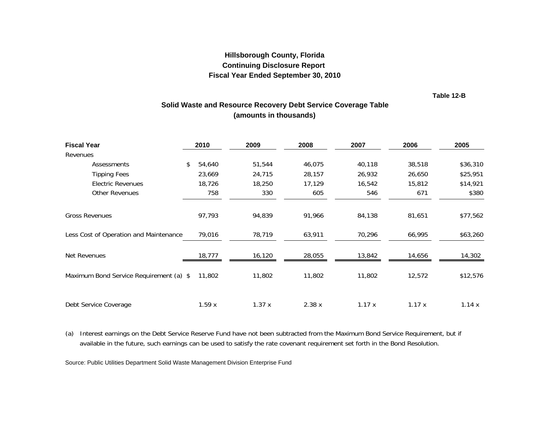**Table 12-B**

## **Solid Waste and Resource Recovery Debt Service Coverage Table (amounts in thousands)**

<span id="page-43-0"></span>

| <b>Fiscal Year</b>                      | 2010         | 2009   | 2008   | 2007   | 2006   | 2005     |
|-----------------------------------------|--------------|--------|--------|--------|--------|----------|
| Revenues                                |              |        |        |        |        |          |
| Assessments                             | 54,640<br>\$ | 51,544 | 46,075 | 40,118 | 38,518 | \$36,310 |
| <b>Tipping Fees</b>                     | 23,669       | 24,715 | 28,157 | 26,932 | 26,650 | \$25,951 |
| <b>Electric Revenues</b>                | 18,726       | 18,250 | 17,129 | 16,542 | 15,812 | \$14,921 |
| <b>Other Revenues</b>                   | 758          | 330    | 605    | 546    | 671    | \$380    |
|                                         |              |        |        |        |        |          |
| <b>Gross Revenues</b>                   | 97,793       | 94,839 | 91,966 | 84,138 | 81,651 | \$77,562 |
| Less Cost of Operation and Maintenance  | 79,016       | 78,719 | 63,911 | 70,296 | 66,995 | \$63,260 |
| Net Revenues                            | 18,777       | 16,120 | 28,055 | 13,842 | 14,656 | 14,302   |
| Maximum Bond Service Requirement (a) \$ | 11,802       | 11,802 | 11,802 | 11,802 | 12,572 | \$12,576 |
| Debt Service Coverage                   | 1.59x        | 1.37x  | 2.38x  | 1.17x  | 1.17x  | 1.14x    |

(a) Interest earnings on the Debt Service Reserve Fund have not been subtracted from the Maximum Bond Service Requirement, but if available in the future, such earnings can be used to satisfy the rate covenant requirement set forth in the Bond Resolution.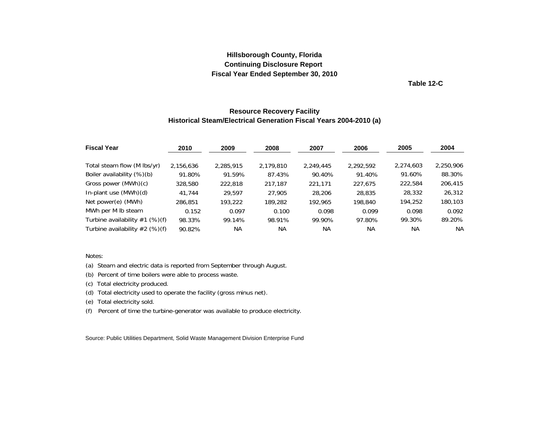**Table 12-C**

#### **Resource Recovery Facility Historical Steam/Electrical Generation Fiscal Years 2004-2010 (a)**

<span id="page-44-0"></span>

| <b>Fiscal Year</b>               | 2010      | 2009      | 2008      | 2007      | 2006      | 2005      | 2004      |
|----------------------------------|-----------|-----------|-----------|-----------|-----------|-----------|-----------|
| Total steam flow (M lbs/yr)      | 2,156,636 | 2,285,915 | 2,179,810 | 2.249.445 | 2,292,592 | 2,274,603 | 2,250,906 |
| Boiler availability (%)(b)       | 91.80%    | 91.59%    | 87.43%    | 90.40%    | 91.40%    | 91.60%    | 88.30%    |
| Gross power (MWh)(c)             | 328,580   | 222,818   | 217.187   | 221.171   | 227.675   | 222,584   | 206,415   |
| In-plant use (MWh)(d)            | 41.744    | 29.597    | 27,905    | 28,206    | 28,835    | 28,332    | 26,312    |
| Net power(e) (MWh)               | 286,851   | 193,222   | 189,282   | 192,965   | 198,840   | 194,252   | 180,103   |
| MWh per M lb steam               | 0.152     | 0.097     | 0.100     | 0.098     | 0.099     | 0.098     | 0.092     |
| Turbine availability $#1$ (%)(f) | 98.33%    | 99.14%    | 98.91%    | 99.90%    | 97.80%    | 99.30%    | 89.20%    |
| Turbine availability $#2$ (%)(f) | 90.82%    | NА        | <b>NA</b> | NА        | <b>NA</b> | <b>NA</b> | <b>NA</b> |

#### Notes:

(a) Steam and electric data is reported from September through August.

(b) Percent of time boilers were able to process waste.

(c) Total electricity produced.

(d) Total electricity used to operate the facility (gross minus net).

(e) Total electricity sold.

(f) Percent of time the turbine-generator was available to produce electricity.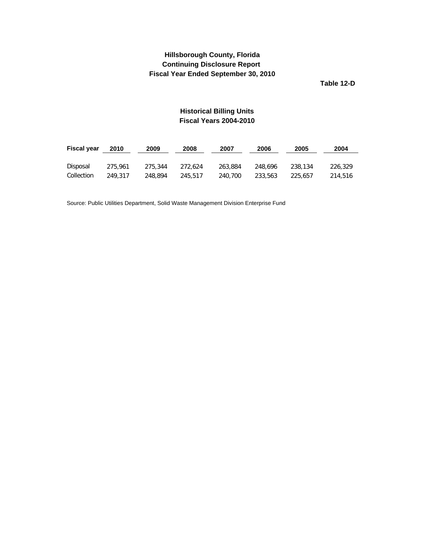**Table 12-D**

## **Historical Billing Units Fiscal Years 2004-2010**

<span id="page-45-0"></span>

| <b>Fiscal year</b> | 2010    | 2009    | 2008    | 2007    | 2006    | 2005    | 2004    |
|--------------------|---------|---------|---------|---------|---------|---------|---------|
|                    |         |         |         |         |         |         |         |
| Disposal           | 275,961 | 275.344 | 272.624 | 263.884 | 248,696 | 238.134 | 226.329 |
| Collection         | 249.317 | 248,894 | 245.517 | 240,700 | 233,563 | 225.657 | 214.516 |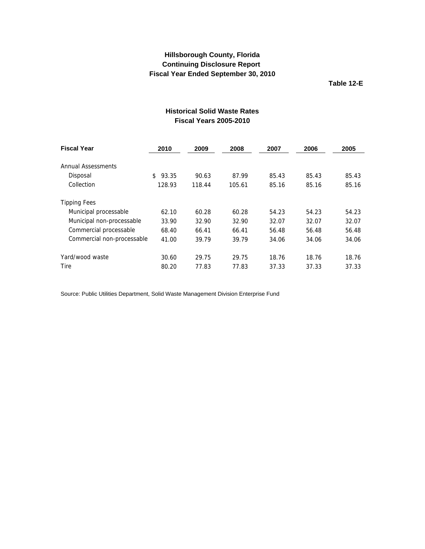**Table 12-E**

<span id="page-46-0"></span>

| <b>Fiscal Year</b>             | 2010        | 2009   | 2008   | 2007  | 2006  | 2005  |
|--------------------------------|-------------|--------|--------|-------|-------|-------|
| Annual Assessments<br>Disposal | 93.35<br>\$ | 90.63  | 87.99  | 85.43 | 85.43 | 85.43 |
| Collection                     | 128.93      | 118.44 | 105.61 | 85.16 | 85.16 | 85.16 |
| <b>Tipping Fees</b>            |             |        |        |       |       |       |
| Municipal processable          | 62.10       | 60.28  | 60.28  | 54.23 | 54.23 | 54.23 |
| Municipal non-processable      | 33.90       | 32.90  | 32.90  | 32.07 | 32.07 | 32.07 |
| Commercial processable         | 68.40       | 66.41  | 66.41  | 56.48 | 56.48 | 56.48 |
| Commercial non-processable     | 41.00       | 39.79  | 39.79  | 34.06 | 34.06 | 34.06 |
| Yard/wood waste                | 30.60       | 29.75  | 29.75  | 18.76 | 18.76 | 18.76 |
| Tire                           | 80.20       | 77.83  | 77.83  | 37.33 | 37.33 | 37.33 |

# **Historical Solid Waste Rates Fiscal Years 2005-2010**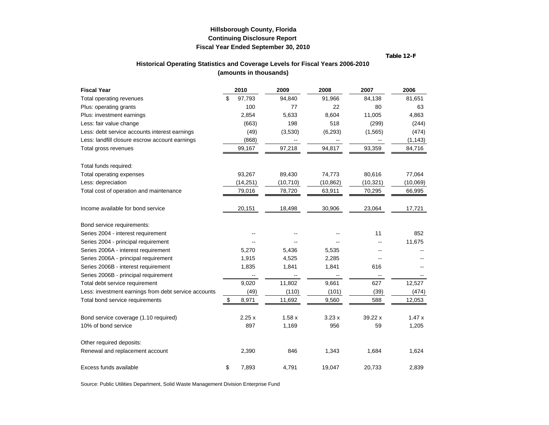**Table 12-F**

#### **Historical Operating Statistics and Coverage Levels for Fiscal Years 2006-2010 (amounts in thousands)**

<span id="page-47-0"></span>

| <b>Fiscal Year</b>                                   | 2010         | 2009      | 2008      | 2007      | 2006     |
|------------------------------------------------------|--------------|-----------|-----------|-----------|----------|
| Total operating revenues                             | \$<br>97,793 | 94,840    | 91,966    | 84,138    | 81,651   |
| Plus: operating grants                               | 100          | 77        | 22        | 80        | 63       |
| Plus: investment earnings                            | 2,854        | 5,633     | 8,604     | 11,005    | 4,863    |
| Less: fair value change                              | (663)        | 198       | 518       | (299)     | (244)    |
| Less: debt service accounts interest earnings        | (49)         | (3,530)   | (6, 293)  | (1, 565)  | (474)    |
| Less: landfill closure escrow account earnings       | (868)        |           |           |           | (1, 143) |
| Total gross revenues                                 | 99,167       | 97,218    | 94,817    | 93,359    | 84,716   |
| Total funds required:                                |              |           |           |           |          |
| Total operating expenses                             | 93,267       | 89,430    | 74,773    | 80,616    | 77,064   |
| Less: depreciation                                   | (14, 251)    | (10, 710) | (10, 862) | (10, 321) | (10,069) |
| Total cost of operation and maintenance              | 79,016       | 78,720    | 63,911    | 70,295    | 66,995   |
| Income available for bond service                    | 20,151       | 18,498    | 30,906    | 23,064    | 17,721   |
| Bond service requirements:                           |              |           |           |           |          |
| Series 2004 - interest requirement                   |              |           |           | 11        | 852      |
| Series 2004 - principal requirement                  |              |           |           |           | 11,675   |
| Series 2006A - interest requirement                  | 5,270        | 5,436     | 5,535     |           |          |
| Series 2006A - principal requirement                 | 1,915        | 4,525     | 2,285     |           |          |
| Series 2006B - interest requirement                  | 1,835        | 1,841     | 1,841     | 616       |          |
| Series 2006B - principal requirement                 |              |           |           |           |          |
| Total debt service requirement                       | 9,020        | 11,802    | 9,661     | 627       | 12,527   |
| Less: investment earnings from debt service accounts | (49)         | (110)     | (101)     | (39)      | (474)    |
| Total bond service requirements                      | \$<br>8,971  | 11,692    | 9,560     | 588       | 12,053   |
| Bond service coverage (1.10 required)                | 2.25x        | 1.58x     | 3.23x     | 39.22 x   | 1.47x    |
| 10% of bond service                                  | 897          | 1,169     | 956       | 59        | 1,205    |
| Other required deposits:                             |              |           |           |           |          |
| Renewal and replacement account                      | 2,390        | 846       | 1,343     | 1,684     | 1,624    |
| Excess funds available                               | \$<br>7,893  | 4,791     | 19,047    | 20,733    | 2,839    |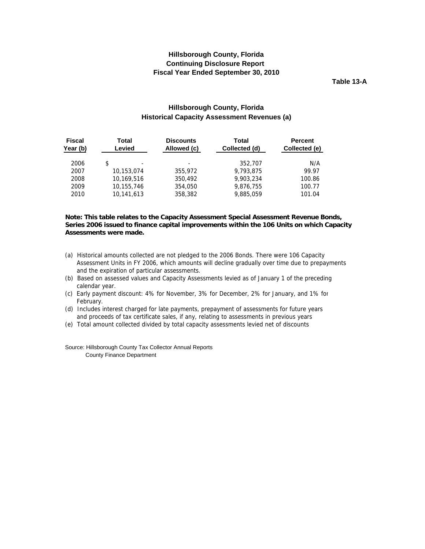**Table 13-A**

#### **Hillsborough County, Florida Historical Capacity Assessment Revenues (a)**

<span id="page-48-0"></span>

| <b>Fiscal</b><br>Year (b) | Total<br>Levied | <b>Discounts</b><br>Allowed (c) | Total<br>Collected (d) | <b>Percent</b><br>Collected (e) |
|---------------------------|-----------------|---------------------------------|------------------------|---------------------------------|
| 2006                      | \$<br>۰         | $\overline{\phantom{a}}$        | 352,707                | N/A                             |
| 2007                      | 10,153,074      | 355,972                         | 9,793,875              | 99.97                           |
| 2008                      | 10.169.516      | 350,492                         | 9.903.234              | 100.86                          |
| 2009                      | 10,155,746      | 354,050                         | 9,876,755              | 100.77                          |
| 2010                      | 10.141.613      | 358,382                         | 9,885,059              | 101.04                          |

#### **Note: This table relates to the Capacity Assessment Special Assessment Revenue Bonds, Series 2006 issued to finance capital improvements within the 106 Units on which Capacity Assessments were made.**

- (a) Historical amounts collected are not pledged to the 2006 Bonds. There were 106 Capacity Assessment Units in FY 2006, which amounts will decline gradually over time due to prepayments and the expiration of particular assessments.
- (b) Based on assessed values and Capacity Assessments levied as of January 1 of the preceding calendar year.
- (c) Early payment discount: 4% for November, 3% for December, 2% for January, and 1% for February.
- (d) Includes interest charged for late payments, prepayment of assessments for future years and proceeds of tax certificate sales, if any, relating to assessments in previous years
- (e) Total amount collected divided by total capacity assessments levied net of discounts

Source: Hillsborough County Tax Collector Annual Reports County Finance Department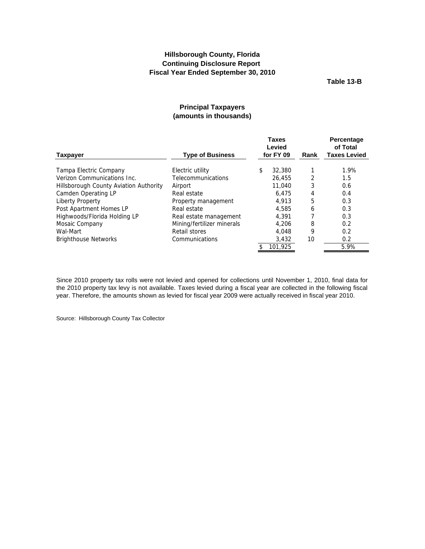**Table 13-B**

#### **Principal Taxpayers (amounts in thousands)**

<span id="page-49-0"></span>

|                                        |                            | <b>Taxes</b><br>Levied<br>for FY 09 |         |      | Percentage<br>of Total<br><b>Taxes Levied</b> |
|----------------------------------------|----------------------------|-------------------------------------|---------|------|-----------------------------------------------|
| <b>Taxpayer</b>                        | <b>Type of Business</b>    |                                     |         | Rank |                                               |
| Tampa Electric Company                 | Electric utility           | \$                                  | 32,380  |      | 1.9%                                          |
| Verizon Communications Inc.            | <b>Telecommunications</b>  |                                     | 26,455  | 2    | 1.5                                           |
| Hillsborough County Aviation Authority | Airport                    |                                     | 11,040  | 3    | 0.6                                           |
| Camden Operating LP                    | Real estate                |                                     | 6.475   | 4    | 0.4                                           |
| Liberty Property                       | Property management        |                                     | 4.913   | 5    | 0.3                                           |
| Post Apartment Homes LP                | Real estate                |                                     | 4,585   | 6    | 0.3                                           |
| Highwoods/Florida Holding LP           | Real estate management     |                                     | 4.391   |      | 0.3                                           |
| Mosaic Company                         | Mining/fertilizer minerals |                                     | 4.206   | 8    | 0.2                                           |
| Wal-Mart                               | Retail stores              |                                     | 4.048   | 9    | 0.2                                           |
| <b>Brighthouse Networks</b>            | Communications             |                                     | 3,432   | 10   | 0.2                                           |
|                                        |                            |                                     | 101.925 |      | 5.9%                                          |

Since 2010 property tax rolls were not levied and opened for collections until November 1, 2010, final data for the 2010 property tax levy is not available. Taxes levied during a fiscal year are collected in the following fiscal year. Therefore, the amounts shown as levied for fiscal year 2009 were actually received in fiscal year 2010.